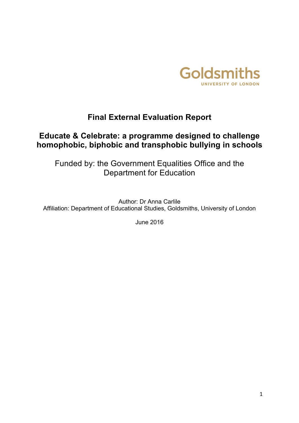

# **Final External Evaluation Report**

# **Educate & Celebrate: a programme designed to challenge homophobic, biphobic and transphobic bullying in schools**

Funded by: the Government Equalities Office and the Department for Education

Author: Dr Anna Carlile Affiliation: Department of Educational Studies, Goldsmiths, University of London

June 2016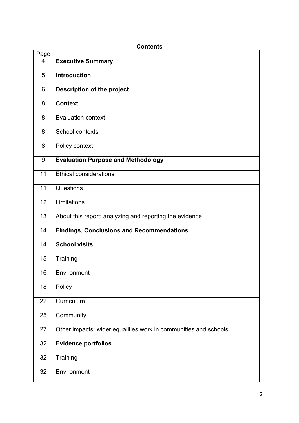|      | טוונטוונט                                                       |
|------|-----------------------------------------------------------------|
| Page |                                                                 |
| 4    | <b>Executive Summary</b>                                        |
| 5    | Introduction                                                    |
| 6    | <b>Description of the project</b>                               |
| 8    | <b>Context</b>                                                  |
| 8    | Evaluation context                                              |
| 8    | School contexts                                                 |
| 8    | Policy context                                                  |
| 9    | <b>Evaluation Purpose and Methodology</b>                       |
| 11   | <b>Ethical considerations</b>                                   |
| 11   | Questions                                                       |
| 12   | Limitations                                                     |
| 13   | About this report: analyzing and reporting the evidence         |
| 14   | <b>Findings, Conclusions and Recommendations</b>                |
| 14   | <b>School visits</b>                                            |
| 15   | Training                                                        |
| 16   | Environment                                                     |
| 18   | Policy                                                          |
| 22   | Curriculum                                                      |
| 25   | Community                                                       |
| 27   | Other impacts: wider equalities work in communities and schools |
| 32   | <b>Evidence portfolios</b>                                      |
| 32   | Training                                                        |
| 32   | Environment                                                     |

## **Contents**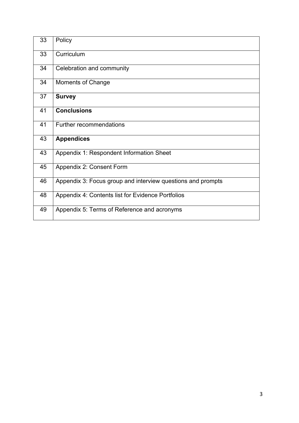| 33 | Policy                                                      |
|----|-------------------------------------------------------------|
| 33 | Curriculum                                                  |
| 34 | Celebration and community                                   |
| 34 | Moments of Change                                           |
| 37 | <b>Survey</b>                                               |
| 41 | <b>Conclusions</b>                                          |
| 41 | Further recommendations                                     |
| 43 | <b>Appendices</b>                                           |
| 43 | Appendix 1: Respondent Information Sheet                    |
| 45 | Appendix 2: Consent Form                                    |
| 46 | Appendix 3: Focus group and interview questions and prompts |
| 48 | Appendix 4: Contents list for Evidence Portfolios           |
| 49 | Appendix 5: Terms of Reference and acronyms                 |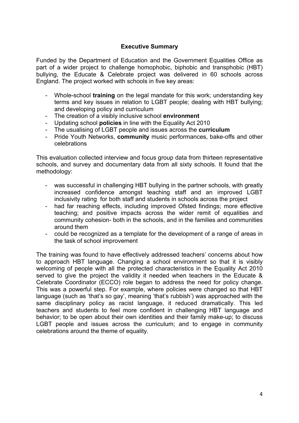## **Executive Summary**

Funded by the Department of Education and the Government Equalities Office as part of a wider project to challenge homophobic, biphobic and transphobic (HBT) bullying, the Educate & Celebrate project was delivered in 60 schools across England. The project worked with schools in five key areas:

- Whole-school **training** on the legal mandate for this work; understanding key terms and key issues in relation to LGBT people; dealing with HBT bullying; and developing policy and curriculum
- The creation of a visibly inclusive school **environment**
- Updating school **policies** in line with the Equality Act 2010
- The usualising of LGBT people and issues across the **curriculum**
- Pride Youth Networks, **community** music performances, bake-offs and other celebrations

This evaluation collected interview and focus group data from thirteen representative schools, and survey and documentary data from all sixty schools. It found that the methodology:

- was successful in challenging HBT bullying in the partner schools, with greatly increased confidence amongst teaching staff and an improved LGBT inclusivity rating for both staff and students in schools across the project
- had far reaching effects, including improved Ofsted findings; more effective teaching; and positive impacts across the wider remit of equalities and community cohesion- both in the schools, and in the families and communities around them
- could be recognized as a template for the development of a range of areas in the task of school improvement

The training was found to have effectively addressed teachers' concerns about how to approach HBT language. Changing a school environment so that it is visibly welcoming of people with all the protected characteristics in the Equality Act 2010 served to give the project the validity it needed when teachers in the Educate & Celebrate Coordinator (ECCO) role began to address the need for policy change. This was a powerful step. For example, where policies were changed so that HBT language (such as 'that's so gay', meaning 'that's rubbish') was approached with the same disciplinary policy as racist language, it reduced dramatically. This led teachers and students to feel more confident in challenging HBT language and behavior; to be open about their own identities and their family make-up; to discuss LGBT people and issues across the curriculum; and to engage in community celebrations around the theme of equality.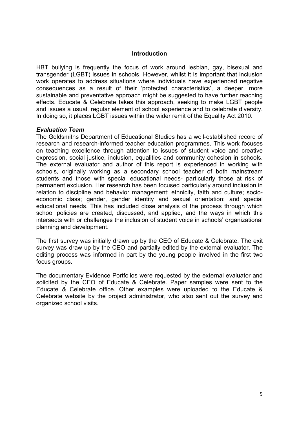#### **Introduction**

HBT bullying is frequently the focus of work around lesbian, gay, bisexual and transgender (LGBT) issues in schools. However, whilst it is important that inclusion work operates to address situations where individuals have experienced negative consequences as a result of their 'protected characteristics', a deeper, more sustainable and preventative approach might be suggested to have further reaching effects. Educate & Celebrate takes this approach, seeking to make LGBT people and issues a usual, regular element of school experience and to celebrate diversity. In doing so, it places LGBT issues within the wider remit of the Equality Act 2010.

## *Evaluation Team*

The Goldsmiths Department of Educational Studies has a well-established record of research and research-informed teacher education programmes. This work focuses on teaching excellence through attention to issues of student voice and creative expression, social justice, inclusion, equalities and community cohesion in schools. The external evaluator and author of this report is experienced in working with schools, originally working as a secondary school teacher of both mainstream students and those with special educational needs- particularly those at risk of permanent exclusion. Her research has been focused particularly around inclusion in relation to discipline and behavior management; ethnicity, faith and culture; socioeconomic class; gender, gender identity and sexual orientation; and special educational needs. This has included close analysis of the process through which school policies are created, discussed, and applied, and the ways in which this intersects with or challenges the inclusion of student voice in schools' organizational planning and development.

The first survey was initially drawn up by the CEO of Educate & Celebrate. The exit survey was draw up by the CEO and partially edited by the external evaluator. The editing process was informed in part by the young people involved in the first two focus groups.

The documentary Evidence Portfolios were requested by the external evaluator and solicited by the CEO of Educate & Celebrate. Paper samples were sent to the Educate & Celebrate office. Other examples were uploaded to the Educate & Celebrate website by the project administrator, who also sent out the survey and organized school visits.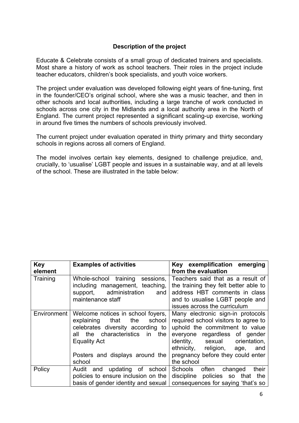## **Description of the project**

Educate & Celebrate consists of a small group of dedicated trainers and specialists. Most share a history of work as school teachers. Their roles in the project include teacher educators, children's book specialists, and youth voice workers.

The project under evaluation was developed following eight years of fine-tuning, first in the founder/CEO's original school, where she was a music teacher, and then in other schools and local authorities, including a large tranche of work conducted in schools across one city in the Midlands and a local authority area in the North of England. The current project represented a significant scaling-up exercise, working in around five times the numbers of schools previously involved.

The current project under evaluation operated in thirty primary and thirty secondary schools in regions across all corners of England.

The model involves certain key elements, designed to challenge prejudice, and, crucially, to 'usualise' LGBT people and issues in a sustainable way, and at all levels of the school. These are illustrated in the table below:

| <b>Key</b>  | <b>Examples of activities</b>       | exemplification emerging<br>Key       |  |
|-------------|-------------------------------------|---------------------------------------|--|
| element     |                                     | from the evaluation                   |  |
| Training    | Whole-school training sessions,     | Teachers said that as a result of     |  |
|             | including management, teaching,     | the training they felt better able to |  |
|             | support, administration<br>and      | address HBT comments in class         |  |
|             | maintenance staff                   | and to usualise LGBT people and       |  |
|             |                                     | issues across the curriculum          |  |
| Environment | Welcome notices in school foyers,   | Many electronic sign-in protocols     |  |
|             | explaining<br>the<br>school<br>that | required school visitors to agree to  |  |
|             | celebrates diversity according to   | uphold the commitment to value        |  |
|             | the characteristics in the<br>all   | everyone regardless of gender         |  |
|             | <b>Equality Act</b>                 | identity, sexual<br>orientation,      |  |
|             |                                     | ethnicity, religion, age,<br>and      |  |
|             | Posters and displays around the     | pregnancy before they could enter     |  |
|             | school                              | the school                            |  |
| Policy      | Audit and updating of school        | Schools often<br>changed<br>their     |  |
|             | policies to ensure inclusion on the | discipline policies so that the       |  |
|             | basis of gender identity and sexual | consequences for saying 'that's so    |  |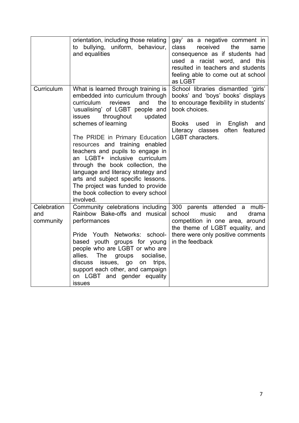|                                 | orientation, including those relating<br>to bullying, uniform, behaviour,<br>and equalities                                                                                                                                                                                                                                                    | gay' as a negative comment in<br>received<br>the<br>class<br>same<br>consequence as if students had<br>used a racist word, and this<br>resulted in teachers and students<br>feeling able to come out at school<br>as LGBT |
|---------------------------------|------------------------------------------------------------------------------------------------------------------------------------------------------------------------------------------------------------------------------------------------------------------------------------------------------------------------------------------------|---------------------------------------------------------------------------------------------------------------------------------------------------------------------------------------------------------------------------|
| Curriculum                      | What is learned through training is<br>embedded into curriculum through<br>the<br>curriculum<br>reviews<br>and<br>'usualising' of LGBT people and<br>throughout<br>updated<br><b>issues</b><br>schemes of learning                                                                                                                             | School libraries dismantled 'girls'<br>books' and 'boys' books' displays<br>to encourage flexibility in students'<br>book choices.<br>English<br><b>Books</b><br>used<br>in<br>and                                        |
|                                 | The PRIDE in Primary Education<br>resources and training enabled<br>teachers and pupils to engage in<br>an LGBT+ inclusive curriculum<br>through the book collection, the<br>language and literacy strategy and<br>arts and subject specific lessons.<br>The project was funded to provide<br>the book collection to every school<br>involved. | often featured<br>Literacy classes<br><b>LGBT</b> characters.                                                                                                                                                             |
| Celebration<br>and<br>community | Community celebrations including<br>Rainbow Bake-offs and musical<br>performances<br>Pride Youth Networks: school-<br>based youth groups for young<br>people who are LGBT or who are<br>allies.<br>The<br>groups<br>socialise,                                                                                                                 | 300 parents attended a multi-<br>school<br>music<br>and<br>drama<br>competition in one area, around<br>the theme of LGBT equality, and<br>there were only positive comments<br>in the feedback                            |
|                                 | discuss<br>issues, go<br>on<br>trips,<br>support each other, and campaign<br>on LGBT and gender equality<br>issues                                                                                                                                                                                                                             |                                                                                                                                                                                                                           |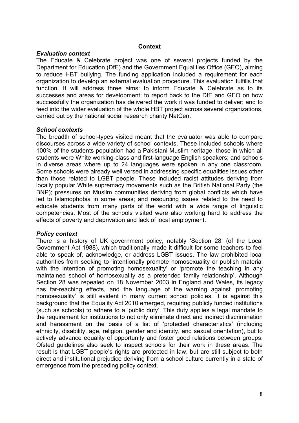#### **Context**

### *Evaluation context*

The Educate & Celebrate project was one of several projects funded by the Department for Education (DfE) and the Government Equalities Office (GEO), aiming to reduce HBT bullying. The funding application included a requirement for each organization to develop an external evaluation procedure. This evaluation fulfills that function. It will address three aims: to inform Educate & Celebrate as to its successes and areas for development; to report back to the DfE and GEO on how successfully the organization has delivered the work it was funded to deliver; and to feed into the wider evaluation of the whole HBT project across several organizations, carried out by the national social research charity NatCen.

## *School contexts*

The breadth of school-types visited meant that the evaluator was able to compare discourses across a wide variety of school contexts. These included schools where 100% of the students population had a Pakistani Muslim heritage; those in which all students were White working-class and first-language English speakers; and schools in diverse areas where up to 24 languages were spoken in any one classroom. Some schools were already well versed in addressing specific equalities issues other than those related to LGBT people. These included racist attitudes deriving from locally popular White supremacy movements such as the British National Party (the BNP); pressures on Muslim communities deriving from global conflicts which have led to Islamophobia in some areas; and resourcing issues related to the need to educate students from many parts of the world with a wide range of linguistic competencies. Most of the schools visited were also working hard to address the effects of poverty and deprivation and lack of local employment.

## *Policy context*

There is a history of UK government policy, notably 'Section 28' (of the Local Government Act 1988), which traditionally made it difficult for some teachers to feel able to speak of, acknowledge, or address LGBT issues. The law prohibited local authorities from seeking to 'intentionally promote homosexuality or publish material with the intention of promoting homosexuality' or 'promote the teaching in any maintained school of homosexuality as a pretended family relationship'. Although Section 28 was repealed on 18 November 2003 in England and Wales, its legacy has far-reaching effects, and the language of the warning against 'promoting homosexuality' is still evident in many current school policies. It is against this background that the Equality Act 2010 emerged, requiring publicly funded institutions (such as schools) to adhere to a 'public duty'. This duty applies a legal mandate to the requirement for institutions to not only eliminate direct and indirect discrimination and harassment on the basis of a list of 'protected characteristics' (including ethnicity, disability, age, religion, gender and identity, and sexual orientation), but to actively advance equality of opportunity and foster good relations between groups. Ofsted guidelines also seek to inspect schools for their work in these areas. The result is that LGBT people's rights are protected in law, but are still subject to both direct and institutional prejudice deriving from a school culture currently in a state of emergence from the preceding policy context.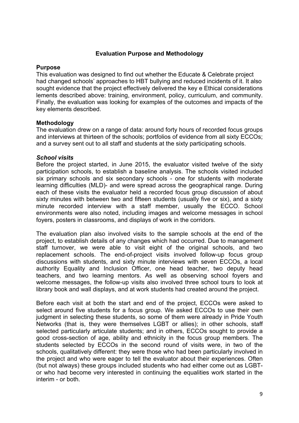### **Evaluation Purpose and Methodology**

### **Purpose**

This evaluation was designed to find out whether the Educate & Celebrate project had changed schools' approaches to HBT bullying and reduced incidents of it. It also sought evidence that the project effectively delivered the key e Ethical considerations lements described above: training, environment, policy, curriculum, and community. Finally, the evaluation was looking for examples of the outcomes and impacts of the key elements described.

#### **Methodology**

The evaluation drew on a range of data: around forty hours of recorded focus groups and interviews at thirteen of the schools; portfolios of evidence from all sixty ECCOs; and a survey sent out to all staff and students at the sixty participating schools.

#### *School visits*

Before the project started, in June 2015, the evaluator visited twelve of the sixty participation schools, to establish a baseline analysis. The schools visited included six primary schools and six secondary schools - one for students with moderate learning difficulties (MLD)- and were spread across the geographical range. During each of these visits the evaluator held a recorded focus group discussion of about sixty minutes with between two and fifteen students (usually five or six), and a sixty minute recorded interview with a staff member, usually the ECCO. School environments were also noted, including images and welcome messages in school foyers, posters in classrooms, and displays of work in the corridors.

The evaluation plan also involved visits to the sample schools at the end of the project, to establish details of any changes which had occurred. Due to management staff turnover, we were able to visit eight of the original schools, and two replacement schools. The end-of-project visits involved follow-up focus group discussions with students, and sixty minute interviews with seven ECCOs, a local authority Equality and Inclusion Officer, one head teacher, two deputy head teachers, and two learning mentors. As well as observing school foyers and welcome messages, the follow-up visits also involved three school tours to look at library book and wall displays, and at work students had created around the project.

Before each visit at both the start and end of the project, ECCOs were asked to select around five students for a focus group. We asked ECCOs to use their own judgment in selecting these students, so some of them were already in Pride Youth Networks (that is, they were themselves LGBT or allies); in other schools, staff selected particularly articulate students; and in others, ECCOs sought to provide a good cross-section of age, ability and ethnicity in the focus group members. The students selected by ECCOs in the second round of visits were, in two of the schools, qualitatively different: they were those who had been particularly involved in the project and who were eager to tell the evaluator about their experiences. Often (but not always) these groups included students who had either come out as LGBTor who had become very interested in continuing the equalities work started in the interim - or both.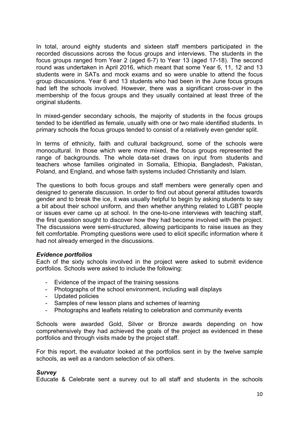In total, around eighty students and sixteen staff members participated in the recorded discussions across the focus groups and interviews. The students in the focus groups ranged from Year 2 (aged 6-7) to Year 13 (aged 17-18). The second round was undertaken in April 2016, which meant that some Year 6, 11, 12 and 13 students were in SATs and mock exams and so were unable to attend the focus group discussions. Year 6 and 13 students who had been in the June focus groups had left the schools involved. However, there was a significant cross-over in the membership of the focus groups and they usually contained at least three of the original students.

In mixed-gender secondary schools, the majority of students in the focus groups tended to be identified as female, usually with one or two male identified students. In primary schools the focus groups tended to consist of a relatively even gender split.

In terms of ethnicity, faith and cultural background, some of the schools were monocultural. In those which were more mixed, the focus groups represented the range of backgrounds. The whole data-set draws on input from students and teachers whose families originated in Somalia, Ethiopia, Bangladesh, Pakistan, Poland, and England, and whose faith systems included Christianity and Islam.

The questions to both focus groups and staff members were generally open and designed to generate discussion. In order to find out about general attitudes towards gender and to break the ice, it was usually helpful to begin by asking students to say a bit about their school uniform, and then whether anything related to LGBT people or issues ever came up at school. In the one-to-one interviews with teaching staff, the first question sought to discover how they had become involved with the project. The discussions were semi-structured, allowing participants to raise issues as they felt comfortable. Prompting questions were used to elicit specific information where it had not already emerged in the discussions.

#### *Evidence portfolios*

Each of the sixty schools involved in the project were asked to submit evidence portfolios. Schools were asked to include the following:

- Evidence of the impact of the training sessions
- Photographs of the school environment, including wall displays
- Updated policies
- Samples of new lesson plans and schemes of learning
- Photographs and leaflets relating to celebration and community events

Schools were awarded Gold, Silver or Bronze awards depending on how comprehensively they had achieved the goals of the project as evidenced in these portfolios and through visits made by the project staff.

For this report, the evaluator looked at the portfolios sent in by the twelve sample schools, as well as a random selection of six others.

#### *Survey*

Educate & Celebrate sent a survey out to all staff and students in the schools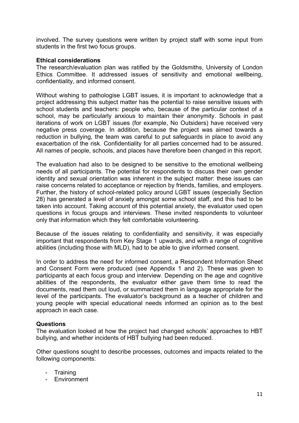involved. The survey questions were written by project staff with some input from students in the first two focus groups.

## **Ethical considerations**

The research/evaluation plan was ratified by the Goldsmiths, University of London Ethics Committee. It addressed issues of sensitivity and emotional wellbeing, confidentiality, and informed consent.

Without wishing to pathologise LGBT issues, it is important to acknowledge that a project addressing this subject matter has the potential to raise sensitive issues with school students and teachers: people who, because of the particular context of a school, may be particularly anxious to maintain their anonymity. Schools in past iterations of work on LGBT issues (for example, No Outsiders) have received very negative press coverage. In addition, because the project was aimed towards a reduction in bullying, the team was careful to put safeguards in place to avoid any exacerbation of the risk. Confidentiality for all parties concerned had to be assured. All names of people, schools, and places have therefore been changed in this report.

The evaluation had also to be designed to be sensitive to the emotional wellbeing needs of all participants. The potential for respondents to discuss their own gender identity and sexual orientation was inherent in the subject matter: these issues can raise concerns related to acceptance or rejection by friends, families, and employers. Further, the history of school-related policy around LGBT issues (especially Section 28) has generated a level of anxiety amongst some school staff, and this had to be taken into account. Taking account of this potential anxiety, the evaluator used open questions in focus groups and interviews. These invited respondents to volunteer only that information which they felt comfortable volunteering.

Because of the issues relating to confidentiality and sensitivity, it was especially important that respondents from Key Stage 1 upwards, and with a range of cognitive abilities (including those with MLD), had to be able to give informed consent.

In order to address the need for informed consent, a Respondent Information Sheet and Consent Form were produced (see Appendix 1 and 2). These was given to participants at each focus group and interview. Depending on the age and cognitive abilities of the respondents, the evaluator either gave them time to read the documents, read them out loud, or summarized them in language appropriate for the level of the participants. The evaluator's background as a teacher of children and young people with special educational needs informed an opinion as to the best approach in each case.

## **Questions**

The evaluation looked at how the project had changed schools' approaches to HBT bullying, and whether incidents of HBT bullying had been reduced.

Other questions sought to describe processes, outcomes and impacts related to the following components:

- **Training**
- Environment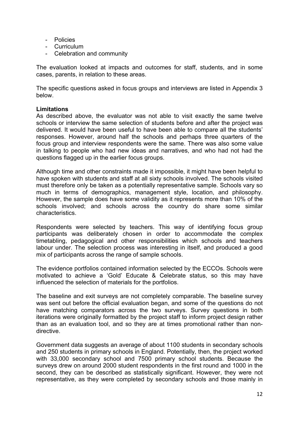- Policies
- Curriculum
- Celebration and community

The evaluation looked at impacts and outcomes for staff, students, and in some cases, parents, in relation to these areas.

The specific questions asked in focus groups and interviews are listed in Appendix 3 below.

## **Limitations**

As described above, the evaluator was not able to visit exactly the same twelve schools or interview the same selection of students before and after the project was delivered. It would have been useful to have been able to compare all the students' responses. However, around half the schools and perhaps three quarters of the focus group and interview respondents were the same. There was also some value in talking to people who had new ideas and narratives, and who had not had the questions flagged up in the earlier focus groups.

Although time and other constraints made it impossible, it might have been helpful to have spoken with students and staff at all sixty schools involved. The schools visited must therefore only be taken as a potentially representative sample. Schools vary so much in terms of demographics, management style, location, and philosophy. However, the sample does have some validity as it represents more than 10% of the schools involved; and schools across the country do share some similar characteristics.

Respondents were selected by teachers. This way of identifying focus group participants was deliberately chosen in order to accommodate the complex timetabling, pedagogical and other responsibilities which schools and teachers labour under. The selection process was interesting in itself, and produced a good mix of participants across the range of sample schools.

The evidence portfolios contained information selected by the ECCOs. Schools were motivated to achieve a 'Gold' Educate & Celebrate status, so this may have influenced the selection of materials for the portfolios.

The baseline and exit surveys are not completely comparable. The baseline survey was sent out before the official evaluation began, and some of the questions do not have matching comparators across the two surveys. Survey questions in both iterations were originally formatted by the project staff to inform project design rather than as an evaluation tool, and so they are at times promotional rather than nondirective.

Government data suggests an average of about 1100 students in secondary schools and 250 students in primary schools in England. Potentially, then, the project worked with 33,000 secondary school and 7500 primary school students. Because the surveys drew on around 2000 student respondents in the first round and 1000 in the second, they can be described as statistically significant. However, they were not representative, as they were completed by secondary schools and those mainly in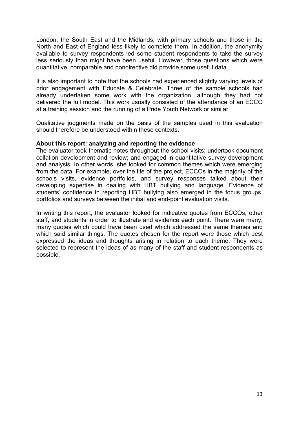London, the South East and the Midlands, with primary schools and those in the North and East of England less likely to complete them. In addition, the anonymity available to survey respondents led some student respondents to take the survey less seriously than might have been useful. However, those questions which were quantitative, comparable and nondirective did provide some useful data.

It is also important to note that the schools had experienced slightly varying levels of prior engagement with Educate & Celebrate. Three of the sample schools had already undertaken some work with the organization, although they had not delivered the full model. This work usually consisted of the attendance of an ECCO at a training session and the running of a Pride Youth Network or similar.

Qualitative judgments made on the basis of the samples used in this evaluation should therefore be understood within these contexts.

## **About this report: analyzing and reporting the evidence**

The evaluator took thematic notes throughout the school visits; undertook document collation development and review; and engaged in quantitative survey development and analysis. In other words, she looked for common themes which were emerging from the data. For example, over the life of the project, ECCOs in the majority of the schools visits, evidence portfolios, and survey responses talked about their developing expertise in dealing with HBT bullying and language. Evidence of students' confidence in reporting HBT bullying also emerged in the focus groups, portfolios and surveys between the initial and end-point evaluation visits.

In writing this report, the evaluator looked for indicative quotes from ECCOs, other staff, and students in order to illustrate and evidence each point. There were many, many quotes which could have been used which addressed the same themes and which said similar things. The quotes chosen for the report were those which best expressed the ideas and thoughts arising in relation to each theme. They were selected to represent the ideas of as many of the staff and student respondents as possible.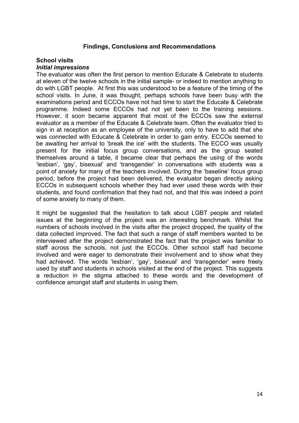### **Findings, Conclusions and Recommendations**

#### **School visits**

#### *Initial impressions*

The evaluator was often the first person to mention Educate & Celebrate to students at eleven of the twelve schools in the initial sample- or indeed to mention anything to do with LGBT people. At first this was understood to be a feature of the timing of the school visits. In June, it was thought, perhaps schools have been busy with the examinations period and ECCOs have not had time to start the Educate & Celebrate programme. Indeed some ECCOs had not yet been to the training sessions. However, it soon became apparent that most of the ECCOs saw the external evaluator as a member of the Educate & Celebrate team. Often the evaluator tried to sign in at reception as an employee of the university, only to have to add that she was connected with Educate & Celebrate in order to gain entry. ECCOs seemed to be awaiting her arrival to 'break the ice' with the students. The ECCO was usually present for the initial focus group conversations, and as the group seated themselves around a table, it became clear that perhaps the using of the words 'lesbian', 'gay', bisexual' and 'transgender' in conversations with students was a point of anxiety for many of the teachers involved. During the 'baseline' focus group period, before the project had been delivered, the evaluator began directly asking ECCOs in subsequent schools whether they had ever used these words with their students, and found confirmation that they had not, and that this was indeed a point of some anxiety to many of them.

It might be suggested that the hesitation to talk about LGBT people and related issues at the beginning of the project was an interesting benchmark. Whilst the numbers of schools involved in the visits after the project dropped, the quality of the data collected improved. The fact that such a range of staff members wanted to be interviewed after the project demonstrated the fact that the project was familiar to staff across the schools, not just the ECCOs. Other school staff had become involved and were eager to demonstrate their involvement and to show what they had achieved. The words 'lesbian', 'gay', bisexual' and 'transgender' were freely used by staff and students in schools visited at the end of the project. This suggests a reduction in the stigma attached to these words and the development of confidence amongst staff and students in using them.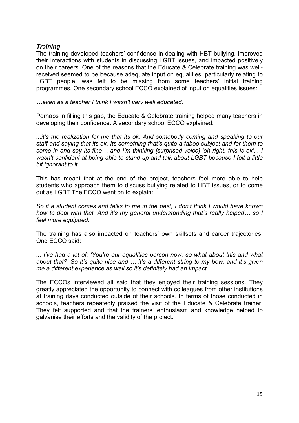## *Training*

The training developed teachers' confidence in dealing with HBT bullying, improved their interactions with students in discussing LGBT issues, and impacted positively on their careers. One of the reasons that the Educate & Celebrate training was wellreceived seemed to be because adequate input on equalities, particularly relating to LGBT people, was felt to be missing from some teachers' initial training programmes. One secondary school ECCO explained of input on equalities issues:

*…even as a teacher I think I wasn't very well educated.*

Perhaps in filling this gap, the Educate & Celebrate training helped many teachers in developing their confidence. A secondary school ECCO explained:

*...it's the realization for me that its ok. And somebody coming and speaking to our staff and saying that its ok. Its something that's quite a taboo subject and for them to come in and say its fine… and I'm thinking [surprised voice] 'oh right, this is ok'... I wasn't confident at being able to stand up and talk about LGBT because I felt a little bit ignorant to it.*

This has meant that at the end of the project, teachers feel more able to help students who approach them to discuss bullying related to HBT issues, or to come out as LGBT The ECCO went on to explain:

*So if a student comes and talks to me in the past, I don't think I would have known how to deal with that. And it's my general understanding that's really helped… so I feel more equipped.*

The training has also impacted on teachers' own skillsets and career trajectories. One ECCO said:

*... I've had a lot of: 'You're our equalities person now, so what about this and what about that?' So it's quite nice and … it's a different string to my bow, and it's given me a different experience as well so it's definitely had an impact.*

The ECCOs interviewed all said that they enjoyed their training sessions. They greatly appreciated the opportunity to connect with colleagues from other institutions at training days conducted outside of their schools. In terms of those conducted in schools, teachers repeatedly praised the visit of the Educate & Celebrate trainer. They felt supported and that the trainers' enthusiasm and knowledge helped to galvanise their efforts and the validity of the project.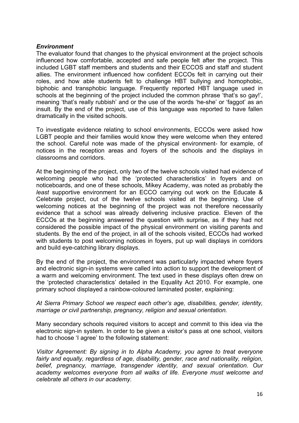#### *Environment*

The evaluator found that changes to the physical environment at the project schools influenced how comfortable, accepted and safe people felt after the project. This included LGBT staff members and students and their ECCOS and staff and student allies. The environment influenced how confident ECCOs felt in carrying out their roles, and how able students felt to challenge HBT bullying and homophobic, biphobic and transphobic language. Frequently reported HBT language used in schools at the beginning of the project included the common phrase 'that's so gay!', meaning 'that's really rubbish' and or the use of the words 'he-she' or 'faggot' as an insult. By the end of the project, use of this language was reported to have fallen dramatically in the visited schools.

To investigate evidence relating to school environments, ECCOs were asked how LGBT people and their families would know they were welcome when they entered the school. Careful note was made of the physical environment- for example, of notices in the reception areas and foyers of the schools and the displays in classrooms and corridors.

At the beginning of the project, only two of the twelve schools visited had evidence of welcoming people who had the 'protected characteristics' in foyers and on noticeboards, and one of these schools, Mikey Academy, was noted as probably the *least* supportive environment for an ECCO carrying out work on the Educate & Celebrate project, out of the twelve schools visited at the beginning. Use of welcoming notices at the beginning of the project was not therefore necessarily evidence that a school was already delivering inclusive practice. Eleven of the ECCOs at the beginning answered the question with surprise, as if they had not considered the possible impact of the physical environment on visiting parents and students. By the end of the project, in all of the schools visited, ECCOs had worked with students to post welcoming notices in foyers, put up wall displays in corridors and build eye-catching library displays.

By the end of the project, the environment was particularly impacted where foyers and electronic sign-in systems were called into action to support the development of a warm and welcoming environment. The text used in these displays often drew on the 'protected characteristics' detailed in the Equality Act 2010. For example, one primary school displayed a rainbow-coloured laminated poster, explaining:

#### *At Sierra Primary School we respect each other's age, disabilities, gender, identity, marriage or civil partnership, pregnancy, religion and sexual orientation.*

Many secondary schools required visitors to accept and commit to this idea via the electronic sign-in system. In order to be given a visitor's pass at one school, visitors had to choose 'I agree' to the following statement:

*Visitor Agreement: By signing in to Alpha Academy, you agree to treat everyone fairly and equally, regardless of age, disability, gender, race and nationality, religion, belief, pregnancy, marriage, transgender identity, and sexual orientation. Our academy welcomes everyone from all walks of life. Everyone must welcome and celebrate all others in our academy.*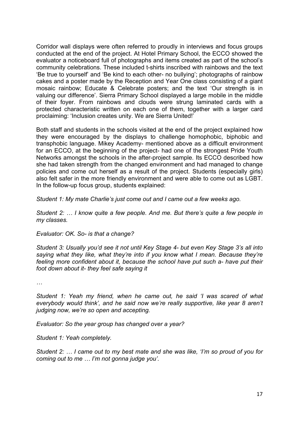Corridor wall displays were often referred to proudly in interviews and focus groups conducted at the end of the project. At Hotel Primary School, the ECCO showed the evaluator a noticeboard full of photographs and items created as part of the school's community celebrations. These included t-shirts inscribed with rainbows and the text 'Be true to yourself' and 'Be kind to each other- no bullying'; photographs of rainbow cakes and a poster made by the Reception and Year One class consisting of a giant mosaic rainbow; Educate & Celebrate posters; and the text 'Our strength is in valuing our difference'. Sierra Primary School displayed a large mobile in the middle of their foyer. From rainbows and clouds were strung laminated cards with a protected characteristic written on each one of them, together with a larger card proclaiming: 'Inclusion creates unity. We are Sierra United!'

Both staff and students in the schools visited at the end of the project explained how they were encouraged by the displays to challenge homophobic, biphobic and transphobic language. Mikey Academy- mentioned above as a difficult environment for an ECCO, at the beginning of the project- had one of the strongest Pride Youth Networks amongst the schools in the after-project sample. Its ECCO described how she had taken strength from the changed environment and had managed to change policies and come out herself as a result of the project. Students (especially girls) also felt safer in the more friendly environment and were able to come out as LGBT. In the follow-up focus group, students explained:

*Student 1: My mate Charlie's just come out and I came out a few weeks ago.*

*Student 2: … I know quite a few people. And me. But there's quite a few people in my classes.*

*Evaluator: OK. So- is that a change?*

*Student 3: Usually you'd see it not until Key Stage 4- but even Key Stage 3's all into saying what they like, what they're into if you know what I mean. Because they're feeling more confident about it, because the school have put such a- have put their foot down about it- they feel safe saying it*

*…*

*Student 1: Yeah my friend, when he came out, he said 'I was scared of what everybody would think', and he said now we're really supportive, like year 8 aren't judging now, we're so open and accepting.*

*Evaluator: So the year group has changed over a year?*

*Student 1: Yeah completely.*

*Student 2: … I came out to my best mate and she was like, 'I'm so proud of you for coming out to me … I'm not gonna judge you'.*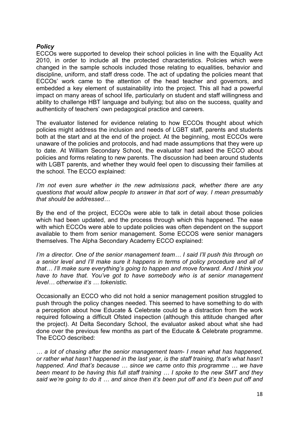## *Policy*

ECCOs were supported to develop their school policies in line with the Equality Act 2010, in order to include all the protected characteristics. Policies which were changed in the sample schools included those relating to equalities, behavior and discipline, uniform, and staff dress code. The act of updating the policies meant that ECCOs' work came to the attention of the head teacher and governors, and embedded a key element of sustainability into the project. This all had a powerful impact on many areas of school life, particularly on student and staff willingness and ability to challenge HBT language and bullying; but also on the success, quality and authenticity of teachers' own pedagogical practice and careers.

The evaluator listened for evidence relating to how ECCOs thought about which policies might address the inclusion and needs of LGBT staff, parents and students both at the start and at the end of the project. At the beginning, most ECCOs were unaware of the policies and protocols, and had made assumptions that they were up to date. At William Secondary School, the evaluator had asked the ECCO about policies and forms relating to new parents. The discussion had been around students with LGBT parents, and whether they would feel open to discussing their families at the school. The ECCO explained:

*I'm not even sure whether in the new admissions pack, whether there are any questions that would allow people to answer in that sort of way. I mean presumably that should be addressed…*

By the end of the project, ECCOs were able to talk in detail about those policies which had been updated, and the process through which this happened. The ease with which ECCOs were able to update policies was often dependent on the support available to them from senior management. Some ECCOS were senior managers themselves. The Alpha Secondary Academy ECCO explained:

*I'm a director. One of the senior management team... I said I'll push this through on a senior level and I'll make sure it happens in terms of policy procedure and all of that… I'll make sure everything's going to happen and move forward. And I think you have to have that. You've got to have somebody who is at senior management level… otherwise it's … tokenistic.*

Occasionally an ECCO who did not hold a senior management position struggled to push through the policy changes needed. This seemed to have something to do with a perception about how Educate & Celebrate could be a distraction from the work required following a difficult Ofsted inspection (although this attitude changed after the project). At Delta Secondary School, the evaluator asked about what she had done over the previous few months as part of the Educate & Celebrate programme. The ECCO described:

*… a lot of chasing after the senior management team- I mean what has happened, or rather what hasn't happened in the last year, is the staff training, that's what hasn't happened. And that's because … since we came onto this programme … we have been meant to be having this full staff training … I spoke to the new SMT and they said we're going to do it … and since then it's been put off and it's been put off and*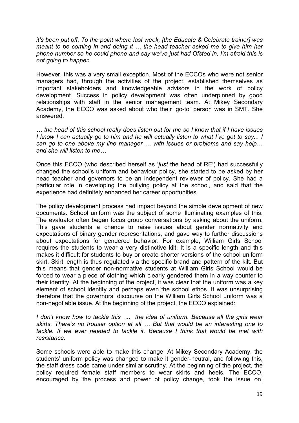*it's been put off. To the point where last week, [the Educate & Celebrate trainer] was meant to be coming in and doing it … the head teacher asked me to give him her phone number so he could phone and say we've just had Ofsted in, I'm afraid this is not going to happen.* 

However, this was a very small exception. Most of the ECCOs who were not senior managers had, through the activities of the project, established themselves as important stakeholders and knowledgeable advisors in the work of policy development. Success in policy development was often underpinned by good relationships with staff in the senior management team. At Mikey Secondary Academy, the ECCO was asked about who their 'go-to' person was in SMT. She answered:

*… the head of this school really does listen out for me so I know that if I have issues I know I can actually go to him and he will actually listen to what I've got to say... I can go to one above my line manager … with issues or problems and say help… and she will listen to me…*

Once this ECCO (who described herself as '*just* the head of RE') had successfully changed the school's uniform and behaviour policy, she started to be asked by her head teacher and governors to be an independent reviewer of policy. She had a particular role in developing the bullying policy at the school, and said that the experience had definitely enhanced her career opportunities.

The policy development process had impact beyond the simple development of new documents. School uniform was the subject of some illuminating examples of this. The evaluator often began focus group conversations by asking about the uniform. This gave students a chance to raise issues about gender normativity and expectations of binary gender representations, and gave way to further discussions about expectations for gendered behavior. For example, William Girls School requires the students to wear a very distinctive kilt. It is a specific length and this makes it difficult for students to buy or create shorter versions of the school uniform skirt. Skirt length is thus regulated via the specific brand and pattern of the kilt. But this means that gender non-normative students at William Girls School would be forced to wear a piece of clothing which clearly gendered them in a way counter to their identity. At the beginning of the project, it was clear that the uniform was a key element of school identity and perhaps even the school ethos. It was unsurprising therefore that the governors' discourse on the William Girls School uniform was a non-negotiable issue. At the beginning of the project, the ECCO explained:

*I don't know how to tackle this ... the idea of uniform. Because all the girls wear skirts. There's no trouser option at all … But that would be an interesting one to*  tackle. If we ever needed to tackle it. Because I think that would be met with *resistance.*

Some schools were able to make this change. At Mikey Secondary Academy, the students' uniform policy was changed to make it gender-neutral, and following this, the staff dress code came under similar scrutiny. At the beginning of the project, the policy required female staff members to wear skirts and heels. The ECCO, encouraged by the process and power of policy change, took the issue on,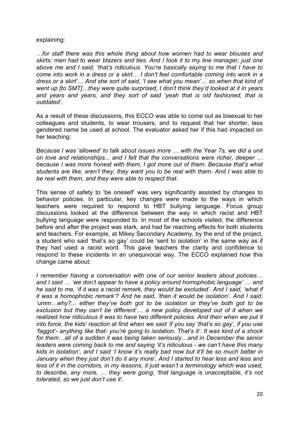#### explaining:

*…for staff there was this whole thing about how women had to wear blouses and skirts; men had to wear blazers and ties. And I took it to my line manager, just one above me and I said, 'that's ridiculous. You're basically saying to me that I have to come into work in a dress or a skirt… I don't feel comfortable coming into work in a dress or a skirt'… And she sort of said, 'I see what you mean'… so when that kind of went up [to SMT]…they were quite surprised, I don't think they'd looked at it in years and years and years, and they sort of said 'yeah that is old fashioned, that is outdated'.*

As a result of these discussions, this ECCO was able to come out as bisexual to her colleagues and students, to wear trousers, and to request that her shorter, less gendered name be used at school. The evaluator asked her if this had impacted on her teaching:

*Because I was 'allowed' to talk about issues more … with the Year 7s, we did a unit on love and relationships... and I felt that the conversations were richer, deeper … because I was more honest with them, I got more out of them. Because that's what students are like, aren't they, they want you to be real with them. And I was able to be real with them, and they were able to respect that.*

This sense of safety to 'be oneself' was very significantly assisted by changes to behavior policies. In particular, key changes were made to the ways in which teachers were required to respond to HBT bullying language. Focus group discussions looked at the difference between the way in which racist and HBT bullying language were responded to. In most of the schools visited, the difference before and after the project was stark, and had far reaching effects for both students and teachers. For example, at Mikey Secondary Academy, by the end of the project, a student who said 'that's so gay' could be 'sent to isolation' in the same way as if they had used a racist word. This gave teachers the clarity and confidence to respond to these incidents in an unequivocal way. The ECCO explained how this change came about:

*I remember having a conversation with one of our senior leaders about policies… and I said … 'we don't appear to have a policy around homophobic language' … and he said to me, 'if it was a racist remark, they would be excluded'. And I said, 'what if it was a homophobic remark'? And he said, 'then it would be isolation'. And I said, 'umm…why?... either they've both got to be isolation or they've both got to be exclusion but they can't be different'… a new policy developed out of it when we*  realized how ridiculous it was to have two different policies. And then when we put it *into force, the kids' reaction at first when we said 'if you say 'that's so gay', if you use 'faggot'- anything like that- you're going to isolation. That's it'. It was kind of a shock for them…all of a sudden it was being taken seriously…and in December the senior leaders were coming back to me and saying 'it's ridiculous - we can't have this many kids in isolation', and I said 'I know it's really bad now but it'll be so much better in January when they just don't do it any more'. And I started to hear less and less and less of it in the corridors, in my lessons, it just wasn't a terminology which was used, to describe, any more, … they were going, 'that language is unacceptable, it's not tolerated, so we just don't use it'.*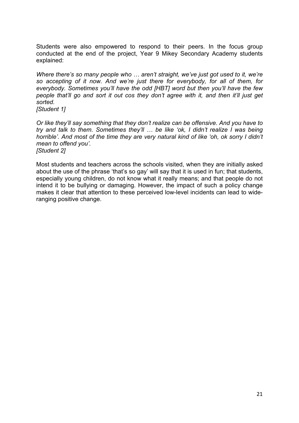Students were also empowered to respond to their peers. In the focus group conducted at the end of the project, Year 9 Mikey Secondary Academy students explained:

*Where there's so many people who … aren't straight, we've just got used to it, we're so accepting of it now. And we're just there for everybody, for all of them, for everybody. Sometimes you'll have the odd [HBT] word but then you'll have the few people that'll go and sort it out cos they don't agree with it, and then it'll just get sorted.*

*[Student 1]*

*Or like they'll say something that they don't realize can be offensive. And you have to try and talk to them. Sometimes they'll … be like 'ok, I didn't realize I was being horrible'. And most of the time they are very natural kind of like 'oh, ok sorry I didn't mean to offend you'. [Student 2]* 

Most students and teachers across the schools visited, when they are initially asked about the use of the phrase 'that's so gay' will say that it is used in fun; that students, especially young children, do not know what it really means; and that people do not intend it to be bullying or damaging. However, the impact of such a policy change makes it clear that attention to these perceived low-level incidents can lead to wideranging positive change.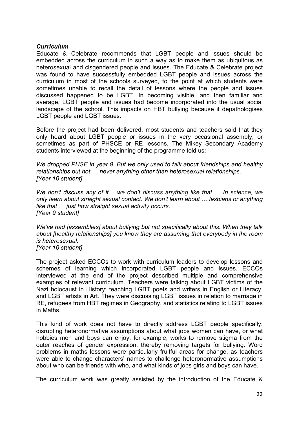### *Curriculum*

Educate & Celebrate recommends that LGBT people and issues should be embedded across the curriculum in such a way as to make them as ubiquitous as heterosexual and cisgendered people and issues. The Educate & Celebrate project was found to have successfully embedded LGBT people and issues across the curriculum in most of the schools surveyed, to the point at which students were sometimes unable to recall the detail of lessons where the people and issues discussed happened to be LGBT. In becoming visible, and then familiar and average, LGBT people and issues had become incorporated into the usual social landscape of the school. This impacts on HBT bullying because it depathologises LGBT people and LGBT issues.

Before the project had been delivered, most students and teachers said that they only heard about LGBT people or issues in the very occasional assembly, or sometimes as part of PHSCE or RE lessons. The Mikey Secondary Academy students interviewed at the beginning of the programme told us:

*We dropped PHSE in year 9. But we only used to talk about friendships and healthy relationships but not … never anything other than heterosexual relationships. [Year 10 student]*

*We don't discuss any of it… we don't discuss anything like that … In science, we only learn about straight sexual contact. We don't learn about … lesbians or anything like that … just how straight sexual activity occurs. [Year 9 student]*

*We've had [assemblies] about bullying but not specifically about this. When they talk about [healthy relationships] you know they are assuming that everybody in the room is heterosexual. [Year 10 student]*

The project asked ECCOs to work with curriculum leaders to develop lessons and schemes of learning which incorporated LGBT people and issues. ECCOs interviewed at the end of the project described multiple and comprehensive examples of relevant curriculum. Teachers were talking about LGBT victims of the Nazi holocaust in History; teaching LGBT poets and writers in English or Literacy, and LGBT artists in Art. They were discussing LGBT issues in relation to marriage in RE, refugees from HBT regimes in Geography, and statistics relating to LGBT issues in Maths.

This kind of work does not have to directly address LGBT people specifically: disrupting heteronormative assumptions about what jobs women can have, or what hobbies men and boys can enjoy, for example, works to remove stigma from the outer reaches of gender expression, thereby removing targets for bullying. Word problems in maths lessons were particularly fruitful areas for change, as teachers were able to change characters' names to challenge heteronormative assumptions about who can be friends with who, and what kinds of jobs girls and boys can have.

The curriculum work was greatly assisted by the introduction of the Educate &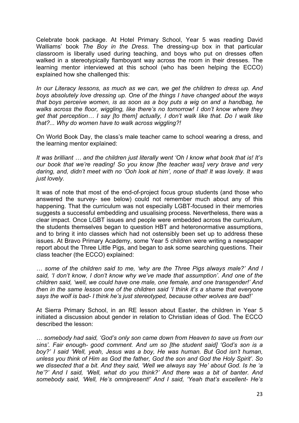Celebrate book package. At Hotel Primary School, Year 5 was reading David Walliams' book *The Boy in the Dress*. The dressing-up box in that particular classroom is liberally used during teaching, and boys who put on dresses often walked in a stereotypically flamboyant way across the room in their dresses. The learning mentor interviewed at this school (who has been helping the ECCO) explained how she challenged this:

*In our Literacy lessons, as much as we can, we get the children to dress up. And boys absolutely love dressing up. One of the things I have changed about the ways that boys perceive women, is as soon as a boy puts a wig on and a handbag, he walks across the floor, wiggling, like there's no tomorrow! I don't know where they get that perception… I say [to them] actually, I don't walk like that. Do I walk like that?... Why do women have to walk across wiggling?!*

On World Book Day, the class's male teacher came to school wearing a dress, and the learning mentor explained:

*It was brilliant … and the children just literally went 'Oh I know what book that is! It's our book that we're reading! So you know [the teacher was] very brave and very daring, and, didn't meet with no 'Ooh look at him', none of that! It was lovely. It was just lovely.* 

It was of note that most of the end-of-project focus group students (and those who answered the survey- see below) could not remember much about any of this happening. That the curriculum was not especially LGBT-focused in their memories suggests a successful embedding and usualising process. Nevertheless, there was a clear impact. Once LGBT issues and people were embedded across the curriculum, the students themselves began to question HBT and heteronormative assumptions, and to bring it into classes which had not ostensibly been set up to address these issues. At Bravo Primary Academy, some Year 5 children were writing a newspaper report about the Three Little Pigs, and began to ask some searching questions. Their class teacher (the ECCO) explained:

*… some of the children said to me, 'why are the Three Pigs always male?' And I said, 'I don't know, I don't know why we've made that assumption'. And one of the children said, 'well, we could have one male, one female, and one transgender!' And then in the same lesson one of the children said 'I think it's a shame that everyone says the wolf is bad- I think he's just stereotyped, because other wolves are bad!'*

At Sierra Primary School, in an RE lesson about Easter, the children in Year 5 initiated a discussion about gender in relation to Christian ideas of God. The ECCO described the lesson:

*… somebody had said, 'God's only son came down from Heaven to save us from our sins'. Fair enough- good comment. And um so [the student said] 'God's son is a boy?' I said 'Well, yeah, Jesus was a boy, He was human. But God isn't human, unless you think of Him as God the father, God the son and God the Holy Spirit'. So we dissected that a bit. And they said, 'Well we always say 'He' about God. Is he 'a he'?' And I said, 'Well, what do you think?' And there was a bit of banter. And somebody said, 'Well, He's omnipresent!' And I said, 'Yeah that's excellent- He's*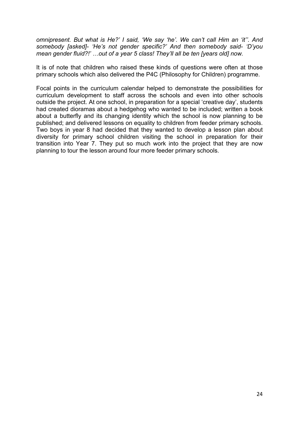*omnipresent. But what is He?' I said, 'We say 'he'. We can't call Him an 'it''. And somebody [asked]- 'He's not gender specific?' And then somebody said- 'D'you mean gender fluid?!' …out of a year 5 class! They'll all be ten [years old] now.*

It is of note that children who raised these kinds of questions were often at those primary schools which also delivered the P4C (Philosophy for Children) programme.

Focal points in the curriculum calendar helped to demonstrate the possibilities for curriculum development to staff across the schools and even into other schools outside the project. At one school, in preparation for a special 'creative day', students had created dioramas about a hedgehog who wanted to be included; written a book about a butterfly and its changing identity which the school is now planning to be published; and delivered lessons on equality to children from feeder primary schools. Two boys in year 8 had decided that they wanted to develop a lesson plan about diversity for primary school children visiting the school in preparation for their transition into Year 7. They put so much work into the project that they are now planning to tour the lesson around four more feeder primary schools.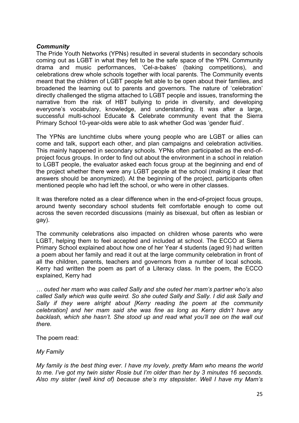## *Community*

The Pride Youth Networks (YPNs) resulted in several students in secondary schools coming out as LGBT in what they felt to be the safe space of the YPN. Community drama and music performances, 'Cel-a-bakes' (baking competitions), and celebrations drew whole schools together with local parents. The Community events meant that the children of LGBT people felt able to be open about their families, and broadened the learning out to parents and governors. The nature of 'celebration' directly challenged the stigma attached to LGBT people and issues, transforming the narrative from the risk of HBT bullying to pride in diversity, and developing everyone's vocabulary, knowledge, and understanding. It was after a large, successful multi-school Educate & Celebrate community event that the Sierra Primary School 10-year-olds were able to ask whether God was 'gender fluid'.

The YPNs are lunchtime clubs where young people who are LGBT or allies can come and talk, support each other, and plan campaigns and celebration activities. This mainly happened in secondary schools. YPNs often participated as the end-ofproject focus groups. In order to find out about the environment in a school in relation to LGBT people, the evaluator asked each focus group at the beginning and end of the project whether there were any LGBT people at the school (making it clear that answers should be anonymized). At the beginning of the project, participants often mentioned people who had left the school, or who were in other classes.

It was therefore noted as a clear difference when in the end-of-project focus groups, around twenty secondary school students felt comfortable enough to come out across the seven recorded discussions (mainly as bisexual, but often as lesbian or gay).

The community celebrations also impacted on children whose parents who were LGBT, helping them to feel accepted and included at school. The ECCO at Sierra Primary School explained about how one of her Year 4 students (aged 9) had written a poem about her family and read it out at the large community celebration in front of all the children, parents, teachers and governors from a number of local schools. Kerry had written the poem as part of a Literacy class. In the poem, the ECCO explained, Kerry had

*… outed her mam who was called Sally and she outed her mam's partner who's also called Sally which was quite weird. So she outed Sally and Sally. I did ask Sally and Sally if they were alright about [Kerry reading the poem at the community celebration] and her mam said she was fine as long as Kerry didn't have any backlash, which she hasn't. She stood up and read what you'll see on the wall out there.*

The poem read:

*My Family*

*My family is the best thing ever. I have my lovely, pretty Mam who means the world to me. I've got my twin sister Rosie but I'm older than her by 3 minutes 16 seconds. Also my sister (well kind of) because she's my stepsister. Well I have my Mam's*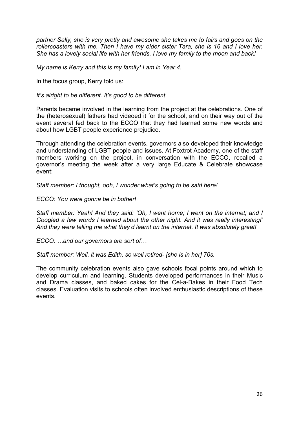*partner Sally, she is very pretty and awesome she takes me to fairs and goes on the rollercoasters with me. Then I have my older sister Tara, she is 16 and I love her. She has a lovely social life with her friends. I love my family to the moon and back!* 

*My name is Kerry and this is my family! I am in Year 4.*

In the focus group, Kerry told us:

*It's alright to be different. It's good to be different.*

Parents became involved in the learning from the project at the celebrations. One of the (heterosexual) fathers had videoed it for the school, and on their way out of the event several fed back to the ECCO that they had learned some new words and about how LGBT people experience prejudice.

Through attending the celebration events, governors also developed their knowledge and understanding of LGBT people and issues. At Foxtrot Academy, one of the staff members working on the project, in conversation with the ECCO, recalled a governor's meeting the week after a very large Educate & Celebrate showcase event:

*Staff member: I thought, ooh, I wonder what's going to be said here!*

*ECCO: You were gonna be in bother!*

*Staff member: Yeah! And they said: 'Oh, I went home; I went on the internet; and I Googled a few words I learned about the other night. And it was really interesting!' And they were telling me what they'd learnt on the internet. It was absolutely great!*

*ECCO: …and our governors are sort of…*

*Staff member: Well, it was Edith, so well retired- [she is in her] 70s.*

The community celebration events also gave schools focal points around which to develop curriculum and learning. Students developed performances in their Music and Drama classes, and baked cakes for the Cel-a-Bakes in their Food Tech classes. Evaluation visits to schools often involved enthusiastic descriptions of these events.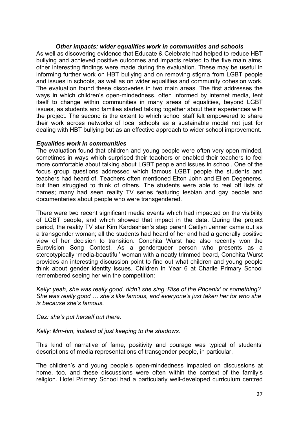## *Other impacts: wider equalities work in communities and schools*

As well as discovering evidence that Educate & Celebrate had helped to reduce HBT bullying and achieved positive outcomes and impacts related to the five main aims, other interesting findings were made during the evaluation. These may be useful in informing further work on HBT bullying and on removing stigma from LGBT people and issues in schools, as well as on wider equalities and community cohesion work. The evaluation found these discoveries in two main areas. The first addresses the ways in which children's open-mindedness, often informed by internet media, lent itself to change within communities in many areas of equalities, beyond LGBT issues, as students and families started talking together about their experiences with the project. The second is the extent to which school staff felt empowered to share their work across networks of local schools as a sustainable model not just for dealing with HBT bullying but as an effective approach to wider school improvement.

#### *Equalities work in communities*

The evaluation found that children and young people were often very open minded, sometimes in ways which surprised their teachers or enabled their teachers to feel more comfortable about talking about LGBT people and issues in school. One of the focus group questions addressed which famous LGBT people the students and teachers had heard of. Teachers often mentioned Elton John and Ellen Degeneres, but then struggled to think of others. The students were able to reel off lists of names; many had seen reality TV series featuring lesbian and gay people and documentaries about people who were transgendered.

There were two recent significant media events which had impacted on the visibility of LGBT people, and which showed that impact in the data. During the project period, the reality TV star Kim Kardashian's step parent Caitlyn Jenner came out as a transgender woman; all the students had heard of her and had a generally positive view of her decision to transition. Conchita Wurst had also recently won the Eurovision Song Contest. As a genderqueer person who presents as a stereotypically 'media-beautiful' woman with a neatly trimmed beard, Conchita Wurst provides an interesting discussion point to find out what children and young people think about gender identity issues. Children in Year 6 at Charlie Primary School remembered seeing her win the competition:

*Kelly: yeah, she was really good, didn't she sing 'Rise of the Phoenix' or something? She was really good … she's like famous, and everyone's just taken her for who she is because she's famous.*

*Caz: she's put herself out there.*

*Kelly: Mm-hm, instead of just keeping to the shadows.*

This kind of narrative of fame, positivity and courage was typical of students' descriptions of media representations of transgender people, in particular.

The children's and young people's open-mindedness impacted on discussions at home, too, and these discussions were often within the context of the family's religion. Hotel Primary School had a particularly well-developed curriculum centred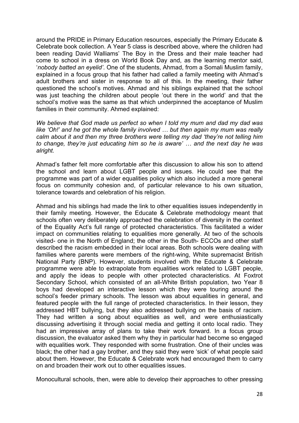around the PRIDE in Primary Education resources, especially the Primary Educate & Celebrate book collection. A Year 5 class is described above, where the children had been reading David Walliams' The Boy in the Dress and their male teacher had come to school in a dress on World Book Day and, as the learning mentor said, '*nobody batted an eyelid'*. One of the students, Ahmad, from a Somali Muslim family, explained in a focus group that his father had called a family meeting with Ahmad's adult brothers and sister in response to all of this. In the meeting, their father questioned the school's motives. Ahmad and his siblings explained that the school was just teaching the children about people 'out there in the world' and that the school's motive was the same as that which underpinned the acceptance of Muslim families in their community. Ahmed explained:

*We believe that God made us perfect so when I told my mum and dad my dad was like 'Oh!' and he got the whole family involved … but then again my mum was really calm about it and then my three brothers were telling my dad 'they're not telling him to change, they're just educating him so he is aware' … and the next day he was alright.*

Ahmad's father felt more comfortable after this discussion to allow his son to attend the school and learn about LGBT people and issues. He could see that the programme was part of a wider equalities policy which also included a more general focus on community cohesion and, of particular relevance to his own situation, tolerance towards and celebration of his religion.

Ahmad and his siblings had made the link to other equalities issues independently in their family meeting. However, the Educate & Celebrate methodology meant that schools often very deliberately approached the celebration of diversity in the context of the Equality Act's full range of protected characteristics. This facilitated a wider impact on communities relating to equalities more generally. At two of the schools visited- one in the North of England; the other in the South- ECCOs and other staff described the racism embedded in their local areas. Both schools were dealing with families where parents were members of the right-wing, White supremacist British National Party (BNP). However, students involved with the Educate & Celebrate programme were able to extrapolate from equalities work related to LGBT people, and apply the ideas to people with other protected characteristics. At Foxtrot Secondary School, which consisted of an all-White British population, two Year 8 boys had developed an interactive lesson which they were touring around the school's feeder primary schools. The lesson was about equalities in general, and featured people with the full range of protected characteristics. In their lesson, they addressed HBT bullying, but they also addressed bullying on the basis of racism. They had written a song about equalities as well, and were enthusiastically discussing advertising it through social media and getting it onto local radio. They had an impressive array of plans to take their work forward. In a focus group discussion, the evaluator asked them why they in particular had become so engaged with equalities work. They responded with some frustration. One of their uncles was black; the other had a gay brother, and they said they were 'sick' of what people said about them. However, the Educate & Celebrate work had encouraged them to carry on and broaden their work out to other equalities issues.

Monocultural schools, then, were able to develop their approaches to other pressing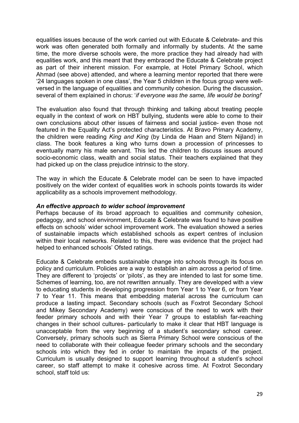equalities issues because of the work carried out with Educate & Celebrate- and this work was often generated both formally and informally by students. At the same time, the more diverse schools were, the more practice they had already had with equalities work, and this meant that they embraced the Educate & Celebrate project as part of their inherent mission. For example, at Hotel Primary School, which Ahmad (see above) attended, and where a learning mentor reported that there were '24 languages spoken in one class', the Year 5 children in the focus group were wellversed in the language of equalities and community cohesion. During the discussion, several of them explained in chorus: '*if everyone was the same, life would be boring!*'

The evaluation also found that through thinking and talking about treating people equally in the context of work on HBT bullying, students were able to come to their own conclusions about other issues of fairness and social justice- even those not featured in the Equality Act's protected characteristics. At Bravo Primary Academy, the children were reading *King and King* (by Linda de Haan and Stern Nijland) in class. The book features a king who turns down a procession of princesses to eventually marry his male servant. This led the children to discuss issues around socio-economic class, wealth and social status. Their teachers explained that they had picked up on the class prejudice intrinsic to the story.

The way in which the Educate & Celebrate model can be seen to have impacted positively on the wider context of equalities work in schools points towards its wider applicability as a schools improvement methodology.

#### *An effective approach to wider school improvement*

Perhaps because of its broad approach to equalities and community cohesion, pedagogy, and school environment, Educate & Celebrate was found to have positive effects on schools' wider school improvement work. The evaluation showed a series of sustainable impacts which established schools as expert centres of inclusion within their local networks. Related to this, there was evidence that the project had helped to enhanced schools' Ofsted ratings.

Educate & Celebrate embeds sustainable change into schools through its focus on policy and curriculum. Policies are a way to establish an aim across a period of time. They are different to 'projects' or 'pilots', as they are intended to last for some time. Schemes of learning, too, are not rewritten annually. They are developed with a view to educating students in developing progression from Year 1 to Year 6, or from Year 7 to Year 11. This means that embedding material across the curriculum can produce a lasting impact. Secondary schools (such as Foxtrot Secondary School and Mikey Secondary Academy) were conscious of the need to work with their feeder primary schools and with their Year 7 groups to establish far-reaching changes in their school cultures- particularly to make it clear that HBT language is unacceptable from the very beginning of a student's secondary school career. Conversely, primary schools such as Sierra Primary School were conscious of the need to collaborate with their colleague feeder primary schools and the secondary schools into which they fed in order to maintain the impacts of the project. Curriculum is usually designed to support learning throughout a student's school career, so staff attempt to make it cohesive across time. At Foxtrot Secondary school, staff told us: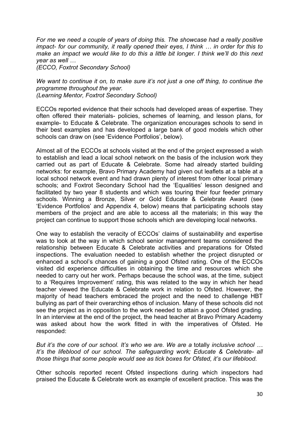*For me we need a couple of years of doing this. The showcase had a really positive impact- for our community, it really opened their eyes, I think … in order for this to make an impact we would like to do this a little bit longer. I think we'll do this next year as well …* 

*(ECCO, Foxtrot Secondary School)*

*We want to continue it on, to make sure it's not just a one off thing, to continue the programme throughout the year. (Learning Mentor, Foxtrot Secondary School)*

ECCOs reported evidence that their schools had developed areas of expertise. They often offered their materials- policies, schemes of learning, and lesson plans, for example- to Educate & Celebrate. The organization encourages schools to send in their best examples and has developed a large bank of good models which other schools can draw on (see 'Evidence Portfolios', below).

Almost all of the ECCOs at schools visited at the end of the project expressed a wish to establish and lead a local school network on the basis of the inclusion work they carried out as part of Educate & Celebrate. Some had already started building networks: for example, Bravo Primary Academy had given out leaflets at a table at a local school network event and had drawn plenty of interest from other local primary schools; and Foxtrot Secondary School had the 'Equalities' lesson designed and facilitated by two year 8 students and which was touring their four feeder primary schools. Winning a Bronze, Silver or Gold Educate & Celebrate Award (see 'Evidence Portfolios' and Appendix 4, below) means that participating schools stay members of the project and are able to access all the materials; in this way the project can continue to support those schools which are developing local networks.

One way to establish the veracity of ECCOs' claims of sustainability and expertise was to look at the way in which school senior management teams considered the relationship between Educate & Celebrate activities and preparations for Ofsted inspections. The evaluation needed to establish whether the project disrupted or enhanced a school's chances of gaining a good Ofsted rating. One of the ECCOs visited did experience difficulties in obtaining the time and resources which she needed to carry out her work. Perhaps because the school was, at the time, subject to a 'Requires Improvement' rating, this was related to the way in which her head teacher viewed the Educate & Celebrate work in relation to Ofsted. However, the majority of head teachers embraced the project and the need to challenge HBT bullying as part of their overarching ethos of inclusion. Many of these schools did not see the project as in opposition to the work needed to attain a good Ofsted grading. In an interview at the end of the project, the head teacher at Bravo Primary Academy was asked about how the work fitted in with the imperatives of Ofsted. He responded:

*But it's the core of our school. It's who we are. We are a* totally *inclusive school … It's the lifeblood of our school. The safeguarding work; Educate & Celebrate- all those things that some people would see as tick boxes for Ofsted, it's our lifeblood.*

Other schools reported recent Ofsted inspections during which inspectors had praised the Educate & Celebrate work as example of excellent practice. This was the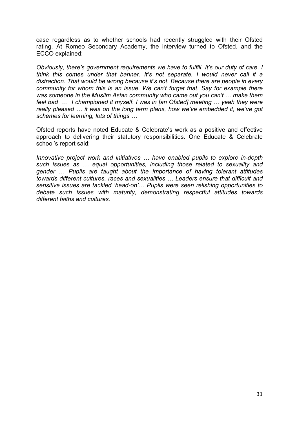case regardless as to whether schools had recently struggled with their Ofsted rating. At Romeo Secondary Academy, the interview turned to Ofsted, and the ECCO explained:

*Obviously, there's government requirements we have to fulfill. It's our duty of care. I think this comes under that banner. It's not separate. I would never call it a distraction. That would be wrong because it's not. Because there are people in every community for whom this is an issue. We can't forget that. Say for example there was someone in the Muslim Asian community who came out you can't … make them feel bad … I championed it myself. I was in [an Ofsted] meeting … yeah they were really pleased … it was on the long term plans, how we've embedded it, we've got schemes for learning, lots of things …* 

Ofsted reports have noted Educate & Celebrate's work as a positive and effective approach to delivering their statutory responsibilities. One Educate & Celebrate school's report said:

*Innovative project work and initiatives … have enabled pupils to explore in-depth such issues as … equal opportunities, including those related to sexuality and gender … Pupils are taught about the importance of having tolerant attitudes towards different cultures, races and sexualities … Leaders ensure that difficult and sensitive issues are tackled 'head-on'… Pupils were seen relishing opportunities to debate such issues with maturity, demonstrating respectful attitudes towards different faiths and cultures.*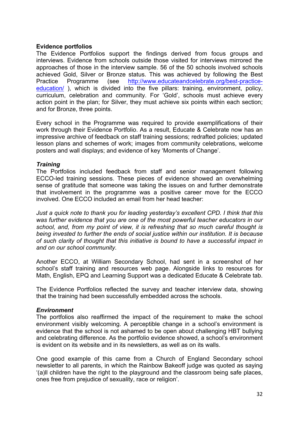### **Evidence portfolios**

The Evidence Portfolios support the findings derived from focus groups and interviews. Evidence from schools outside those visited for interviews mirrored the approaches of those in the interview sample. 56 of the 50 schools involved schools achieved Gold, Silver or Bronze status. This was achieved by following the Best Practice Programme (see http://www.educateandcelebrate.org/best-practiceeducation/ ), which is divided into the five pillars: training, environment, policy, curriculum, celebration and community. For 'Gold', schools must achieve every action point in the plan; for Silver, they must achieve six points within each section; and for Bronze, three points.

Every school in the Programme was required to provide exemplifications of their work through their Evidence Portfolio. As a result, Educate & Celebrate now has an impressive archive of feedback on staff training sessions; redrafted policies; updated lesson plans and schemes of work; images from community celebrations, welcome posters and wall displays; and evidence of key 'Moments of Change'.

#### *Training*

The Portfolios included feedback from staff and senior management following ECCO-led training sessions. These pieces of evidence showed an overwhelming sense of gratitude that someone was taking the issues on and further demonstrate that involvement in the programme was a positive career move for the ECCO involved. One ECCO included an email from her head teacher:

*Just a quick note to thank you for leading yesterday's excellent CPD. I think that this was further evidence that you are one of the most powerful teacher educators in our school, and, from my point of view, it is refreshing that so much careful thought is being invested to further the ends of social justice within our institution. It is because of such clarity of thought that this initiative is bound to have a successful impact in and on our school community.*

Another ECCO, at William Secondary School, had sent in a screenshot of her school's staff training and resources web page. Alongside links to resources for Math, English, EPQ and Learning Support was a dedicated Educate & Celebrate tab.

The Evidence Portfolios reflected the survey and teacher interview data, showing that the training had been successfully embedded across the schools.

## *Environment*

The portfolios also reaffirmed the impact of the requirement to make the school environment visibly welcoming. A perceptible change in a school's environment is evidence that the school is not ashamed to be open about challenging HBT bullying and celebrating difference. As the portfolio evidence showed, a school's environment is evident on its website and in its newsletters, as well as on its walls.

One good example of this came from a Church of England Secondary school newsletter to all parents, in which the Rainbow Bakeoff judge was quoted as saying '(a)ll children have the right to the playground and the classroom being safe places, ones free from prejudice of sexuality, race or religion'.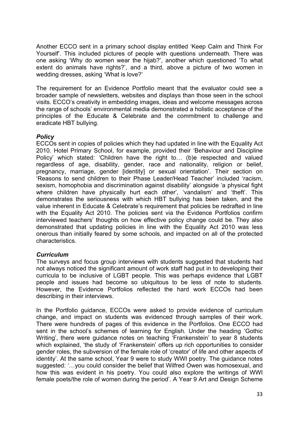Another ECCO sent in a primary school display entitled 'Keep Calm and Think For Yourself'. This included pictures of people with questions underneath. There was one asking 'Why do women wear the hijab?', another which questioned 'To what extent do animals have rights?', and a third, above a picture of two women in wedding dresses, asking 'What is love?'

The requirement for an Evidence Portfolio meant that the evaluator could see a broader sample of newsletters, websites and displays than those seen in the school visits. ECCO's creativity in embedding images, ideas and welcome messages across the range of schools' environmental media demonstrated a holistic acceptance of the principles of the Educate & Celebrate and the commitment to challenge and eradicate HBT bullying.

## *Policy*

ECCOs sent in copies of policies which they had updated in line with the Equality Act 2010. Hotel Primary School, for example, provided their 'Behaviour and Discipline Policy' which stated: 'Children have the right to… (b)e respected and valued regardless of age, disability, gender, race and nationality, religion or belief, pregnancy, marriage, gender [identity] or sexual orientation'. Their section on 'Reasons to send children to their Phase Leader/Head Teacher' included 'racism, sexism, homophobia and discrimination against disability' alongside 'a physical fight where children have physically hurt each other', 'vandalism' and 'theft'. This demonstrates the seriousness with which HBT bullying has been taken, and the value inherent in Educate & Celebrate's requirement that policies be redrafted in line with the Equality Act 2010. The policies sent via the Evidence Portfolios confirm interviewed teachers' thoughts on how effective policy change could be. They also demonstrated that updating policies in line with the Equality Act 2010 was less onerous than initially feared by some schools, and impacted on all of the protected characteristics.

## *Curriculum*

The surveys and focus group interviews with students suggested that students had not always noticed the significant amount of work staff had put in to developing their curricula to be inclusive of LGBT people. This was perhaps evidence that LGBT people and issues had become so ubiquitous to be less of note to students. However, the Evidence Portfolios reflected the hard work ECCOs had been describing in their interviews.

In the Portfolio guidance, ECCOs were asked to provide evidence of curriculum change, and impact on students was evidenced through samples of their work. There were hundreds of pages of this evidence in the Portfolios. One ECCO had sent in the school's schemes of learning for English. Under the heading 'Gothic Writing', there were guidance notes on teaching 'Frankenstein' to year 8 students which explained, 'the study of 'Frankenstein' offers up rich opportunities to consider gender roles, the subversion of the female role of 'creator' of life and other aspects of identity'. At the same school, Year 9 were to study WWI poetry. The guidance notes suggested: '…you could consider the belief that Wilfred Owen was homosexual, and how this was evident in his poetry. You could also explore the writings of WWI female poets/the role of women during the period'. A Year 9 Art and Design Scheme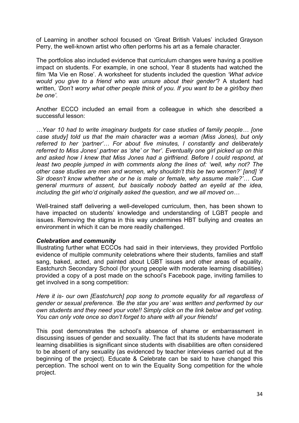of Learning in another school focused on 'Great British Values' included Grayson Perry, the well-known artist who often performs his art as a female character.

The portfolios also included evidence that curriculum changes were having a positive impact on students. For example, in one school, Year 8 students had watched the film 'Ma Vie en Rose'. A worksheet for students included the question *'What advice would you give to a friend who was unsure about their gender'*? A student had written, *'Don't worry what other people think of you. If you want to be a girl/boy then be one'.* 

Another ECCO included an email from a colleague in which she described a successful lesson:

*…Year 10 had to write imaginary budgets for case studies of family people… [one case study] told us that the main character was a woman (Miss Jones), but only referred to her 'partner'… For about five minutes, I constantly and deliberately referred to Miss Jones' partner as 'she' or 'her'. Eventually one girl picked up on this and asked how I knew that Miss Jones had a girlfriend. Before I could respond, at least two people jumped in with comments along the lines of: 'well, why not? The other case studies are men and women, why shouldn't this be two women?' [and] 'if Sir doesn't know whether she or he is male or female, why assume male?'… Cue general murmurs of assent, but basically nobody batted an eyelid at the idea, including the girl who'd originally asked the question, and we all moved on…*

Well-trained staff delivering a well-developed curriculum, then, has been shown to have impacted on students' knowledge and understanding of LGBT people and issues. Removing the stigma in this way undermines HBT bullying and creates an environment in which it can be more readily challenged.

## *Celebration and community*

Illustrating further what ECCOs had said in their interviews, they provided Portfolio evidence of multiple community celebrations where their students, families and staff sang, baked, acted, and painted about LGBT issues and other areas of equality. Eastchurch Secondary School (for young people with moderate learning disabilities) provided a copy of a post made on the school's Facebook page, inviting families to get involved in a song competition:

*Here it is- our own [Eastchurch] pop song to promote equality for all regardless of gender or sexual preference. 'Be the star you are' was written and performed by our own students and they need your vote!! Simply click on the link below and get voting. You can only vote once so don't forget to share with all your friends!*

This post demonstrates the school's absence of shame or embarrassment in discussing issues of gender and sexuality. The fact that its students have moderate learning disabilities is significant since students with disabilities are often considered to be absent of any sexuality (as evidenced by teacher interviews carried out at the beginning of the project). Educate & Celebrate can be said to have changed this perception. The school went on to win the Equality Song competition for the whole project.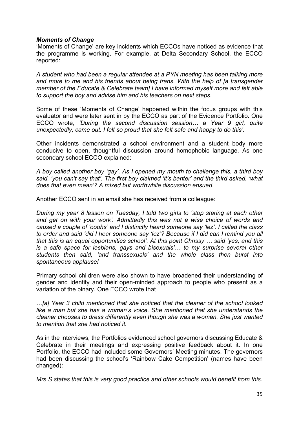## *Moments of Change*

'Moments of Change' are key incidents which ECCOs have noticed as evidence that the programme is working. For example, at Delta Secondary School, the ECCO reported:

*A student who had been a regular attendee at a PYN meeting has been talking more and more to me and his friends about being trans. With the help of [a transgender member of the Educate & Celebrate team] I have informed myself more and felt able to support the boy and advise him and his teachers on next steps.*

Some of these 'Moments of Change' happened within the focus groups with this evaluator and were later sent in by the ECCO as part of the Evidence Portfolio. One ECCO wrote, *'During the second discussion session… a Year 9 girl, quite unexpectedly, came out. I felt so proud that she felt safe and happy to do this'.*

Other incidents demonstrated a school environment and a student body more conducive to open, thoughtful discussion around homophobic language. As one secondary school ECCO explained:

*A boy called another boy 'gay'. As I opened my mouth to challenge this, a third boy said, 'you can't say that'. The first boy claimed 'it's banter' and the third asked, 'what does that even mean'? A mixed but worthwhile discussion ensued.*

Another ECCO sent in an email she has received from a colleague:

*During my year 8 lesson on Tuesday, I told two girls to 'stop staring at each other and get on with your work'. Admittedly this was not a wise choice of words and caused a couple of 'ooohs' and I distinctly heard someone say 'lez'. I called the class to order and said 'did I hear someone say 'lez'? Because if I did can I remind you all that this is an equal opportunities school'. At this point Chrissy … said 'yes, and this is a safe space for lesbians, gays and bisexuals'… to my surprise several other students then said, 'and transsexuals' and the whole class then burst into spontaneous applause!*

Primary school children were also shown to have broadened their understanding of gender and identity and their open-minded approach to people who present as a variation of the binary. One ECCO wrote that

*…[a] Year 3 child mentioned that she noticed that the cleaner of the school looked*  like a man but she has a woman's voice. She mentioned that she understands the *cleaner chooses to dress differently even though she was a woman. She just wanted to mention that she had noticed it.*

As in the interviews, the Portfolios evidenced school governors discussing Educate & Celebrate in their meetings and expressing positive feedback about it. In one Portfolio, the ECCO had included some Governors' Meeting minutes. The governors had been discussing the school's 'Rainbow Cake Competition' (names have been changed):

*Mrs S states that this is very good practice and other schools would benefit from this.*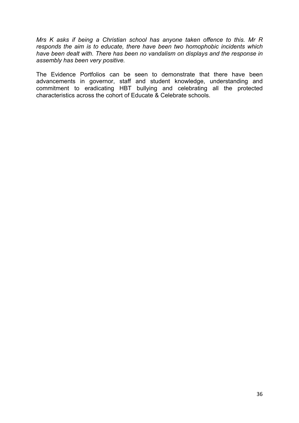*Mrs K asks if being a Christian school has anyone taken offence to this. Mr R responds the aim is to educate, there have been two homophobic incidents which have been dealt with. There has been no vandalism on displays and the response in assembly has been very positive.*

The Evidence Portfolios can be seen to demonstrate that there have been advancements in governor, staff and student knowledge, understanding and commitment to eradicating HBT bullying and celebrating all the protected characteristics across the cohort of Educate & Celebrate schools.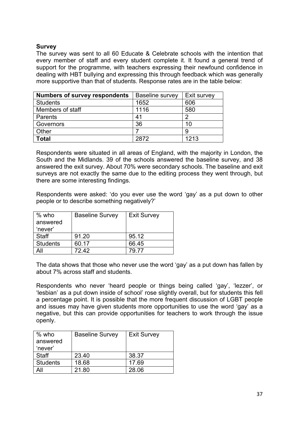## **Survey**

The survey was sent to all 60 Educate & Celebrate schools with the intention that every member of staff and every student complete it. It found a general trend of support for the programme, with teachers expressing their newfound confidence in dealing with HBT bullying and expressing this through feedback which was generally more supportive than that of students. Response rates are in the table below:

| <b>Numbers of survey respondents</b> | Baseline survey | Exit survey |
|--------------------------------------|-----------------|-------------|
| <b>Students</b>                      | 1652            | 606         |
| Members of staff                     | 1116            | 580         |
| Parents                              | 41              | 2           |
| Governors                            | 36              | 10          |
| Other                                |                 | 9           |
| <b>Total</b>                         | 2872            | 1213        |

Respondents were situated in all areas of England, with the majority in London, the South and the Midlands. 39 of the schools answered the baseline survey, and 38 answered the exit survey. About 70% were secondary schools. The baseline and exit surveys are not exactly the same due to the editing process they went through, but there are some interesting findings.

Respondents were asked: 'do you ever use the word 'gay' as a put down to other people or to describe something negatively?'

| $%$ who         | <b>Baseline Survey</b> | <b>Exit Survey</b> |
|-----------------|------------------------|--------------------|
| answered        |                        |                    |
| 'never'         |                        |                    |
| <b>Staff</b>    | 91.20                  | 95.12              |
| <b>Students</b> | 60.17                  | 66.45              |
| All             | 72.42                  | 79 77              |

The data shows that those who never use the word 'gay' as a put down has fallen by about 7% across staff and students.

Respondents who never 'heard people or things being called 'gay', 'lezzer', or 'lesbian' as a put down inside of school' rose slightly overall, but for students this fell a percentage point. It is possible that the more frequent discussion of LGBT people and issues may have given students more opportunities to use the word 'gay' as a negative, but this can provide opportunities for teachers to work through the issue openly.

| $%$ who         | <b>Baseline Survey</b> | <b>Exit Survey</b> |
|-----------------|------------------------|--------------------|
| answered        |                        |                    |
| 'never'         |                        |                    |
| <b>Staff</b>    | 23.40                  | 38.37              |
| <b>Students</b> | 18.68                  | 17.69              |
| All             | 21.80                  | 28.06              |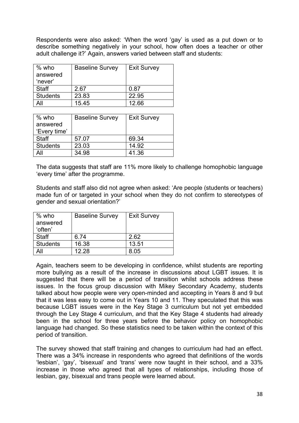Respondents were also asked: 'When the word 'gay' is used as a put down or to describe something negatively in your school, how often does a teacher or other adult challenge it?' Again, answers varied between staff and students:

| % who           | <b>Baseline Survey</b> | <b>Exit Survey</b> |
|-----------------|------------------------|--------------------|
| answered        |                        |                    |
| 'never'         |                        |                    |
| Staff           | 2.67                   | 0.87               |
| <b>Students</b> | 23.83                  | 22.95              |
|                 | 15.45                  | 12.66              |

| $%$ who         | <b>Baseline Survey</b> | <b>Exit Survey</b> |
|-----------------|------------------------|--------------------|
| answered        |                        |                    |
| 'Every time'    |                        |                    |
| <b>Staff</b>    | 57.07                  | 69.34              |
| <b>Students</b> | 23.03                  | 14.92              |
|                 | 34.98                  | 41.36              |

The data suggests that staff are 11% more likely to challenge homophobic language 'every time' after the programme.

Students and staff also did not agree when asked: 'Are people (students or teachers) made fun of or targeted in your school when they do not confirm to stereotypes of gender and sexual orientation?'

| % who           | <b>Baseline Survey</b> | <b>Exit Survey</b> |
|-----------------|------------------------|--------------------|
| answered        |                        |                    |
| 'often'         |                        |                    |
| Staff           | 6.74                   | 2.62               |
| <b>Students</b> | 16.38                  | 13.51              |
|                 | 12.28                  | 8.05               |

Again, teachers seem to be developing in confidence, whilst students are reporting more bullying as a result of the increase in discussions about LGBT issues. It is suggested that there will be a period of transition whilst schools address these issues. In the focus group discussion with Mikey Secondary Academy, students talked about how people were very open-minded and accepting in Years 8 and 9 but that it was less easy to come out in Years 10 and 11. They speculated that this was because LGBT issues were in the Key Stage 3 curriculum but not yet embedded through the Ley Stage 4 curriculum, and that the Key Stage 4 students had already been in the school for three years before the behavior policy on homophobic language had changed. So these statistics need to be taken within the context of this period of transition.

The survey showed that staff training and changes to curriculum had had an effect. There was a 34% increase in respondents who agreed that definitions of the words 'lesbian', 'gay', 'bisexual' and 'trans' were now taught in their school, and a 33% increase in those who agreed that all types of relationships, including those of lesbian, gay, bisexual and trans people were learned about.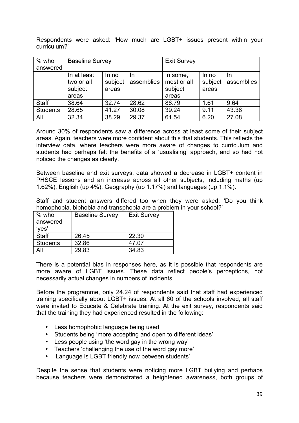Respondents were asked: 'How much are LGBT+ issues present within your curriculum?'

| $%$ who         | <b>Baseline Survey</b>                        |                           |                  | <b>Exit Survey</b>                          |                           |                   |
|-----------------|-----------------------------------------------|---------------------------|------------------|---------------------------------------------|---------------------------|-------------------|
| answered        |                                               |                           |                  |                                             |                           |                   |
|                 | In at least<br>two or all<br>subject<br>areas | In no<br>subject<br>areas | In<br>assemblies | In some,<br>most or all<br>subject<br>areas | In no<br>subject<br>areas | In.<br>assemblies |
| <b>Staff</b>    | 38.64                                         | 32.74                     | 28.62            | 86.79                                       | 1.61                      | 9.64              |
| <b>Students</b> | 28.65                                         | 41.27                     | 30.08            | 39.24                                       | 9.11                      | 43.38             |
| All             | 32.34                                         | 38.29                     | 29.37            | 61.54                                       | 6.20                      | 27.08             |

Around 30% of respondents saw a difference across at least some of their subject areas. Again, teachers were more confident about this that students. This reflects the interview data, where teachers were more aware of changes to curriculum and students had perhaps felt the benefits of a 'usualising' approach, and so had not noticed the changes as clearly.

Between baseline and exit surveys, data showed a decrease in LGBT+ content in PHSCE lessons and an increase across all other subjects, including maths (up 1.62%), English (up 4%), Geography (up 1.17%) and languages (up 1.1%).

Staff and student answers differed too when they were asked: 'Do you think homophobia, biphobia and transphobia are a problem in your school?'

| $%$ who<br>answered<br>'yes' | <b>Baseline Survey</b> | <b>Exit Survey</b> |
|------------------------------|------------------------|--------------------|
| <b>Staff</b>                 | 26.45                  | 22.30              |
| <b>Students</b>              | 32.86                  | 47.07              |
| All                          | 29.83                  | 34.83              |

There is a potential bias in responses here, as it is possible that respondents are more aware of LGBT issues. These data reflect people's perceptions, not necessarily actual changes in numbers of incidents.

Before the programme, only 24.24 of respondents said that staff had experienced training specifically about LGBT+ issues. At all 60 of the schools involved, all staff were invited to Educate & Celebrate training. At the exit survey, respondents said that the training they had experienced resulted in the following:

- Less homophobic language being used
- Students being 'more accepting and open to different ideas'
- Less people using 'the word gay in the wrong way'
- Teachers 'challenging the use of the word gay more'
- 'Language is LGBT friendly now between students'

Despite the sense that students were noticing more LGBT bullying and perhaps because teachers were demonstrated a heightened awareness, both groups of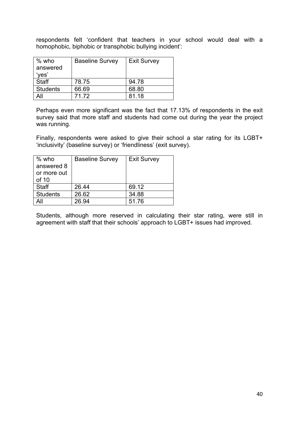respondents felt 'confident that teachers in your school would deal with a homophobic, biphobic or transphobic bullying incident':

| % who           | <b>Baseline Survey</b> | <b>Exit Survey</b> |
|-----------------|------------------------|--------------------|
| answered        |                        |                    |
| 'yes'           |                        |                    |
| <b>Staff</b>    | 78.75                  | 94.78              |
| <b>Students</b> | 66.69                  | 68.80              |
| All             | 71.72                  | 81.18              |

Perhaps even more significant was the fact that 17.13% of respondents in the exit survey said that more staff and students had come out during the year the project was running.

Finally, respondents were asked to give their school a star rating for its LGBT+ 'inclusivity' (baseline survey) or 'friendliness' (exit survey).

| $%$ who         | <b>Baseline Survey</b> | <b>Exit Survey</b> |
|-----------------|------------------------|--------------------|
| answered 8      |                        |                    |
| or more out     |                        |                    |
| of 10           |                        |                    |
| <b>Staff</b>    | 26.44                  | 69.12              |
| <b>Students</b> | 26.62                  | 34.88              |
| All             | 26.94                  | 51.76              |
|                 |                        |                    |

Students, although more reserved in calculating their star rating, were still in agreement with staff that their schools' approach to LGBT+ issues had improved.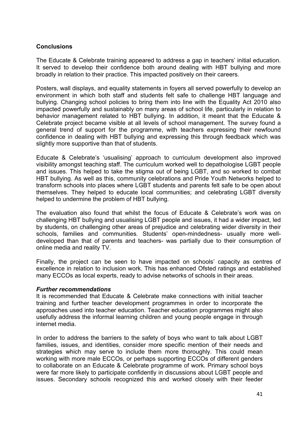## **Conclusions**

The Educate & Celebrate training appeared to address a gap in teachers' initial education. It served to develop their confidence both around dealing with HBT bullying and more broadly in relation to their practice. This impacted positively on their careers.

Posters, wall displays, and equality statements in foyers all served powerfully to develop an environment in which both staff and students felt safe to challenge HBT language and bullying. Changing school policies to bring them into line with the Equality Act 2010 also impacted powerfully and sustainably on many areas of school life, particularly in relation to behavior management related to HBT bullying. In addition, it meant that the Educate & Celebrate project became visible at all levels of school management. The survey found a general trend of support for the programme, with teachers expressing their newfound confidence in dealing with HBT bullying and expressing this through feedback which was slightly more supportive than that of students.

Educate & Celebrate's 'usualising' approach to curriculum development also improved visibility amongst teaching staff. The curriculum worked well to depathologise LGBT people and issues. This helped to take the stigma out of being LGBT, and so worked to combat HBT bullying. As well as this, community celebrations and Pride Youth Networks helped to transform schools into places where LGBT students and parents felt safe to be open about themselves. They helped to educate local communities; and celebrating LGBT diversity helped to undermine the problem of HBT bullying.

The evaluation also found that whilst the focus of Educate & Celebrate's work was on challenging HBT bullying and usualising LGBT people and issues, it had a wider impact, led by students, on challenging other areas of prejudice and celebrating wider diversity in their schools, families and communities. Students' open-mindedness- usually more welldeveloped than that of parents and teachers- was partially due to their consumption of online media and reality TV.

Finally, the project can be seen to have impacted on schools' capacity as centres of excellence in relation to inclusion work. This has enhanced Ofsted ratings and established many ECCOs as local experts, ready to advise networks of schools in their areas.

## *Further recommendations*

It is recommended that Educate & Celebrate make connections with initial teacher training and further teacher development programmes in order to incorporate the approaches used into teacher education. Teacher education programmes might also usefully address the informal learning children and young people engage in through internet media.

In order to address the barriers to the safety of boys who want to talk about LGBT families, issues, and identities, consider more specific mention of their needs and strategies which may serve to include them more thoroughly. This could mean working with more male ECCOs, or perhaps supporting ECCOs of different genders to collaborate on an Educate & Celebrate programme of work. Primary school boys were far more likely to participate confidently in discussions about LGBT people and issues. Secondary schools recognized this and worked closely with their feeder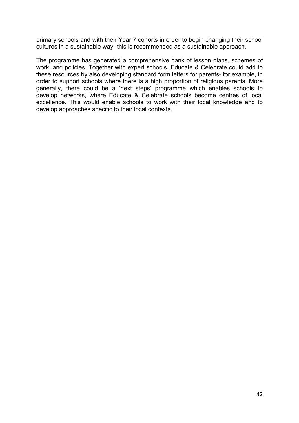primary schools and with their Year 7 cohorts in order to begin changing their school cultures in a sustainable way- this is recommended as a sustainable approach.

The programme has generated a comprehensive bank of lesson plans, schemes of work, and policies. Together with expert schools, Educate & Celebrate could add to these resources by also developing standard form letters for parents- for example, in order to support schools where there is a high proportion of religious parents. More generally, there could be a 'next steps' programme which enables schools to develop networks, where Educate & Celebrate schools become centres of local excellence. This would enable schools to work with their local knowledge and to develop approaches specific to their local contexts.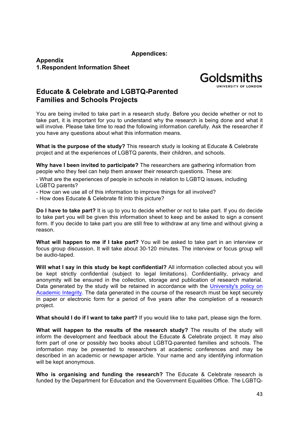**Appendices:**

**Appendix 1.Respondent Information Sheet**



## **Educate & Celebrate and LGBTQ-Parented Families and Schools Projects**

You are being invited to take part in a research study. Before you decide whether or not to take part, it is important for you to understand why the research is being done and what it will involve. Please take time to read the following information carefully. Ask the researcher if you have any questions about what this information means.

**What is the purpose of the study?** This research study is looking at Educate & Celebrate project and at the experiences of LGBTQ parents, their children, and schools.

**Why have I been invited to participate?** The researchers are gathering information from people who they feel can help them answer their research questions. These are:

- What are the experiences of people in schools in relation to LGBTQ issues, including LGBTQ parents?

- How can we use all of this information to improve things for all involved?
- How does Educate & Celebrate fit into this picture?

**Do I have to take part?** It is up to you to decide whether or not to take part. If you do decide to take part you will be given this information sheet to keep and be asked to sign a consent form. If you decide to take part you are still free to withdraw at any time and without giving a reason.

**What will happen to me if I take part?** You will be asked to take part in an interview or focus group discussion. It will take about 30-120 minutes. The interview or focus group will be audio-taped.

**Will what I say in this study be kept confidential?** All information collected about you will be kept strictly confidential (subject to legal limitations). Confidentiality, privacy and anonymity will be ensured in the collection, storage and publication of research material. Data generated by the study will be retained in accordance with the University's policy on Academic Integrity. The data generated in the course of the research must be kept securely in paper or electronic form for a period of five years after the completion of a research project.

**What should I do if I want to take part?** If you would like to take part, please sign the form.

**What will happen to the results of the research study?** The results of the study will inform the development and feedback about the Educate & Celebrate project. It may also form part of one or possibly two books about LGBTQ-parented families and schools. The information may be presented to researchers at academic conferences and may be described in an academic or newspaper article. Your name and any identifying information will be kept anonymous.

**Who is organising and funding the research?** The Educate & Celebrate research is funded by the Department for Education and the Government Equalities Office. The LGBTQ-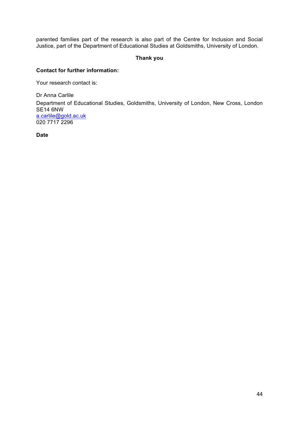parented families part of the research is also part of the Centre for Inclusion and Social Justice, part of the Department of Educational Studies at Goldsmiths, University of London.

#### **Thank you**

#### **Contact for further information:**

Your research contact is:

Dr Anna Carlile Department of Educational Studies, Goldsmiths, University of London, New Cross, London SE14 6NW a.carlile@gold.ac.uk 020 7717 2296

**Date**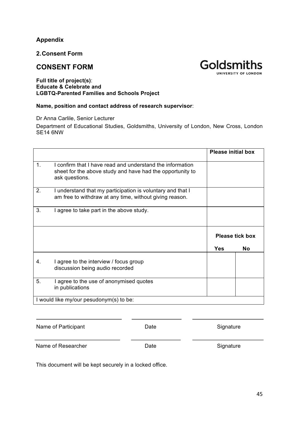## **Appendix**

**2.Consent Form**

## **CONSENT FORM**



#### **Full title of project(s)**: **Educate & Celebrate and LGBTQ-Parented Families and Schools Project**

#### **Name, position and contact address of research supervisor**:

Dr Anna Carlile, Senior Lecturer

Department of Educational Studies, Goldsmiths, University of London, New Cross, London SE14 6NW

|    |                                                                                                                                          | <b>Please initial box</b> |           |
|----|------------------------------------------------------------------------------------------------------------------------------------------|---------------------------|-----------|
| 1. | I confirm that I have read and understand the information<br>sheet for the above study and have had the opportunity to<br>ask questions. |                           |           |
| 2. | I understand that my participation is voluntary and that I<br>am free to withdraw at any time, without giving reason.                    |                           |           |
| 3. | I agree to take part in the above study.                                                                                                 |                           |           |
|    |                                                                                                                                          | Please tick box           |           |
|    |                                                                                                                                          | <b>Yes</b>                | <b>No</b> |
| 4. | I agree to the interview / focus group<br>discussion being audio recorded                                                                |                           |           |
| 5. | I agree to the use of anonymised quotes<br>in publications                                                                               |                           |           |
|    | I would like my/our pesudonym(s) to be:                                                                                                  |                           |           |

| Name of Participant | Date | Signature |
|---------------------|------|-----------|
| Name of Researcher  | Date | Signature |

This document will be kept securely in a locked office.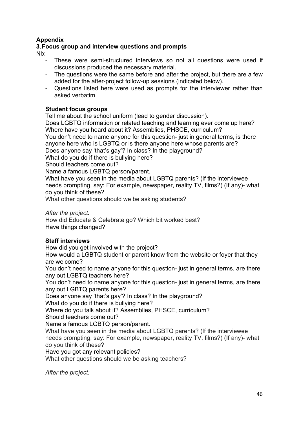## **Appendix**

## **3.Focus group and interview questions and prompts**

Nb:

- These were semi-structured interviews so not all questions were used if discussions produced the necessary material.
- The questions were the same before and after the project, but there are a few added for the after-project follow-up sessions (indicated below).
- Questions listed here were used as prompts for the interviewer rather than asked verbatim.

## **Student focus groups**

Tell me about the school uniform (lead to gender discussion).

Does LGBTQ information or related teaching and learning ever come up here? Where have you heard about it? Assemblies, PHSCE, curriculum?

You don't need to name anyone for this question- just in general terms, is there anyone here who is LGBTQ or is there anyone here whose parents are?

Does anyone say 'that's gay'? In class? In the playground?

What do you do if there is bullying here?

Should teachers come out?

Name a famous LGBTQ person/parent.

What have you seen in the media about LGBTQ parents? (If the interviewee needs prompting, say: For example, newspaper, reality TV, films?) (If any)- what do you think of these?

What other questions should we be asking students?

*After the project:*

How did Educate & Celebrate go? Which bit worked best? Have things changed?

## **Staff interviews**

How did you get involved with the project?

How would a LGBTQ student or parent know from the website or foyer that they are welcome?

You don't need to name anyone for this question- just in general terms, are there any out LGBTQ teachers here?

You don't need to name anyone for this question- just in general terms, are there any out LGBTQ parents here?

Does anyone say 'that's gay'? In class? In the playground?

What do you do if there is bullying here?

Where do you talk about it? Assemblies, PHSCE, curriculum? Should teachers come out?

Name a famous LGBTQ person/parent.

What have you seen in the media about LGBTQ parents? (If the interviewee needs prompting, say: For example, newspaper, reality TV, films?) (If any)- what do you think of these?

Have you got any relevant policies?

What other questions should we be asking teachers?

*After the project:*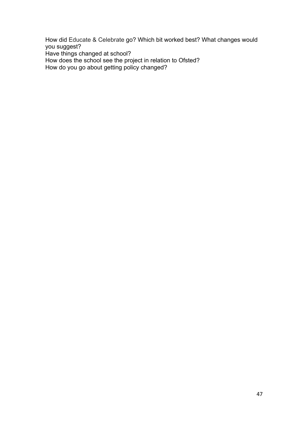How did Educate & Celebrate go? Which bit worked best? What changes would you suggest? Have things changed at school?

How does the school see the project in relation to Ofsted?

How do you go about getting policy changed?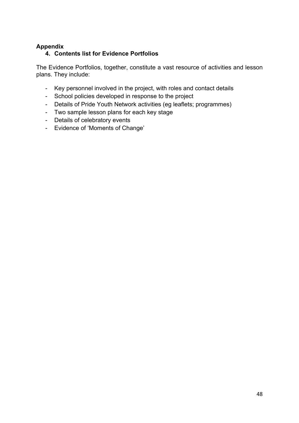## **Appendix**

## **4. Contents list for Evidence Portfolios**

The Evidence Portfolios, together, constitute a vast resource of activities and lesson plans. They include:

- Key personnel involved in the project, with roles and contact details
- School policies developed in response to the project
- Details of Pride Youth Network activities (eg leaflets; programmes)
- Two sample lesson plans for each key stage
- Details of celebratory events
- Evidence of 'Moments of Change'